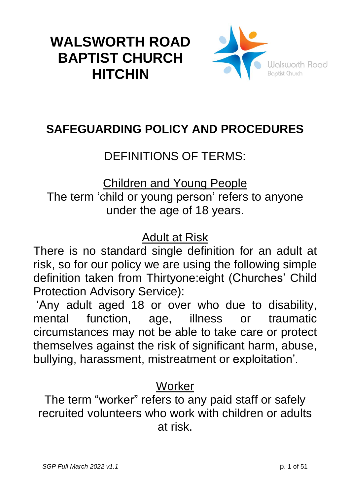# **WALSWORTH ROAD BAPTIST CHURCH HITCHIN**



## **SAFEGUARDING POLICY AND PROCEDURES**

## DEFINITIONS OF TERMS:

Children and Young People The term 'child or young person' refers to anyone under the age of 18 years.

Adult at Risk

There is no standard single definition for an adult at risk, so for our policy we are using the following simple definition taken from Thirtyone:eight (Churches' Child Protection Advisory Service):

'Any adult aged 18 or over who due to disability, mental function, age, illness or traumatic circumstances may not be able to take care or protect themselves against the risk of significant harm, abuse, bullying, harassment, mistreatment or exploitation'.

## **Worker**

The term "worker" refers to any paid staff or safely recruited volunteers who work with children or adults at risk.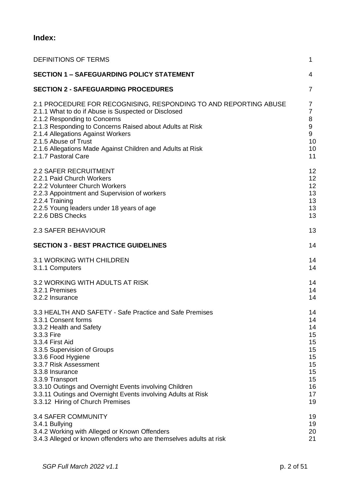### **Index:**

| <b>DEFINITIONS OF TERMS</b>                                        | $\mathbf 1$      |
|--------------------------------------------------------------------|------------------|
| <b>SECTION 1 - SAFEGUARDING POLICY STATEMENT</b>                   | 4                |
| <b>SECTION 2 - SAFEGUARDING PROCEDURES</b>                         | $\overline{7}$   |
| 2.1 PROCEDURE FOR RECOGNISING, RESPONDING TO AND REPORTING ABUSE   | 7                |
| 2.1.1 What to do if Abuse is Suspected or Disclosed                | $\overline{7}$   |
| 2.1.2 Responding to Concerns                                       | 8                |
| 2.1.3 Responding to Concerns Raised about Adults at Risk           | $\boldsymbol{9}$ |
| 2.1.4 Allegations Against Workers                                  | 9                |
| 2.1.5 Abuse of Trust                                               | 10               |
| 2.1.6 Allegations Made Against Children and Adults at Risk         | 10               |
| 2.1.7 Pastoral Care                                                | 11               |
| <b>2.2 SAFER RECRUITMENT</b>                                       | 12               |
| 2.2.1 Paid Church Workers                                          | 12               |
| 2.2.2 Volunteer Church Workers                                     | 12               |
| 2.2.3 Appointment and Supervision of workers                       | 13               |
| 2.2.4 Training                                                     | 13               |
| 2.2.5 Young leaders under 18 years of age                          | 13               |
| 2.2.6 DBS Checks                                                   | 13               |
| 2.3 SAFER BEHAVIOUR                                                | 13               |
| <b>SECTION 3 - BEST PRACTICE GUIDELINES</b>                        | 14               |
| 3.1 WORKING WITH CHILDREN                                          | 14               |
| 3.1.1 Computers                                                    | 14               |
| 3.2 WORKING WITH ADULTS AT RISK                                    | 14               |
| 3.2.1 Premises                                                     | 14               |
| 3.2.2 Insurance                                                    | 14               |
| 3.3 HEALTH AND SAFETY - Safe Practice and Safe Premises            | 14               |
| 3.3.1 Consent forms                                                | 14               |
| 3.3.2 Health and Safety                                            | 14               |
| 3.3.3 Fire                                                         | 15               |
| 3.3.4 First Aid                                                    | 15               |
| 3.3.5 Supervision of Groups                                        | 15               |
| 3.3.6 Food Hygiene                                                 | 15               |
| 3.3.7 Risk Assessment                                              | 15               |
| 3.3.8 Insurance                                                    | 15               |
| 3.3.9 Transport                                                    | 15               |
| 3.3.10 Outings and Overnight Events involving Children             | 16               |
| 3.3.11 Outings and Overnight Events involving Adults at Risk       | 17               |
| 3.3.12 Hiring of Church Premises                                   | 19               |
| <b>3.4 SAFER COMMUNITY</b>                                         | 19               |
| 3.4.1 Bullying                                                     | 19               |
| 3.4.2 Working with Alleged or Known Offenders                      | 20               |
| 3.4.3 Alleged or known offenders who are themselves adults at risk | 21               |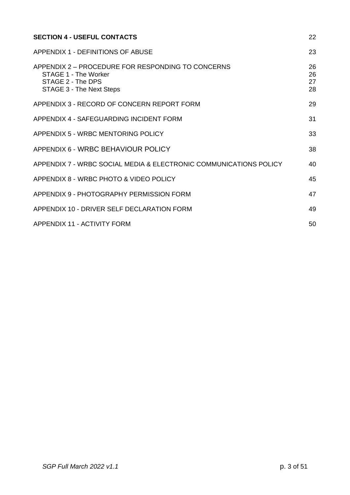| <b>SECTION 4 - USEFUL CONTACTS</b>                                                                                                | 22                   |
|-----------------------------------------------------------------------------------------------------------------------------------|----------------------|
| APPENDIX 1 - DEFINITIONS OF ABUSE                                                                                                 | 23                   |
| APPENDIX 2 - PROCEDURE FOR RESPONDING TO CONCERNS<br>STAGE 1 - The Worker<br>STAGE 2 - The DPS<br><b>STAGE 3 - The Next Steps</b> | 26<br>26<br>27<br>28 |
| APPENDIX 3 - RECORD OF CONCERN REPORT FORM                                                                                        | 29                   |
| APPENDIX 4 - SAFEGUARDING INCIDENT FORM                                                                                           | 31                   |
| APPENDIX 5 - WRBC MENTORING POLICY                                                                                                | 33                   |
| APPENDIX 6 - WRBC BEHAVIOUR POLICY                                                                                                | 38                   |
| APPENDIX 7 - WRBC SOCIAL MEDIA & ELECTRONIC COMMUNICATIONS POLICY                                                                 | 40                   |
| APPENDIX 8 - WRBC PHOTO & VIDEO POLICY                                                                                            | 45                   |
| APPENDIX 9 - PHOTOGRAPHY PERMISSION FORM                                                                                          | 47                   |
| APPENDIX 10 - DRIVER SELF DECLARATION FORM                                                                                        | 49                   |
| APPENDIX 11 - ACTIVITY FORM                                                                                                       | 50                   |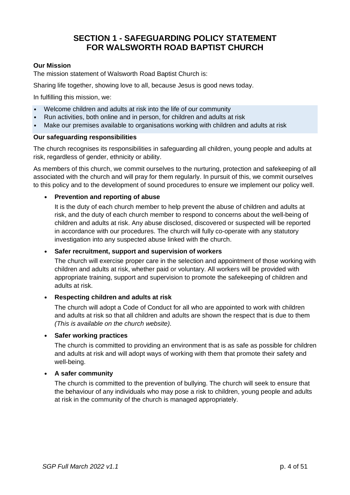### **SECTION 1 - SAFEGUARDING POLICY STATEMENT FOR WALSWORTH ROAD BAPTIST CHURCH**

### **Our Mission**

The mission statement of Walsworth Road Baptist Church is:

Sharing life together, showing love to all, because Jesus is good news today.

In fulfilling this mission, we:

- Welcome children and adults at risk into the life of our community
- Run activities, both online and in person, for children and adults at risk
- Make our premises available to organisations working with children and adults at risk

### **Our safeguarding responsibilities**

The church recognises its responsibilities in safeguarding all children, young people and adults at risk, regardless of gender, ethnicity or ability.

As members of this church, we commit ourselves to the nurturing, protection and safekeeping of all associated with the church and will pray for them regularly. In pursuit of this, we commit ourselves to this policy and to the development of sound procedures to ensure we implement our policy well.

### **• Prevention and reporting of abuse**

It is the duty of each church member to help prevent the abuse of children and adults at risk, and the duty of each church member to respond to concerns about the well-being of children and adults at risk. Any abuse disclosed, discovered or suspected will be reported in accordance with our procedures. The church will fully co-operate with any statutory investigation into any suspected abuse linked with the church.

### **• Safer recruitment, support and supervision of workers**

The church will exercise proper care in the selection and appointment of those working with children and adults at risk, whether paid or voluntary. All workers will be provided with appropriate training, support and supervision to promote the safekeeping of children and adults at risk.

### **• Respecting children and adults at risk**

The church will adopt a Code of Conduct for all who are appointed to work with children and adults at risk so that all children and adults are shown the respect that is due to them *(This is available on the church website).*

### **• Safer working practices**

The church is committed to providing an environment that is as safe as possible for children and adults at risk and will adopt ways of working with them that promote their safety and well-being.

### **• A safer community**

The church is committed to the prevention of bullying. The church will seek to ensure that the behaviour of any individuals who may pose a risk to children, young people and adults at risk in the community of the church is managed appropriately.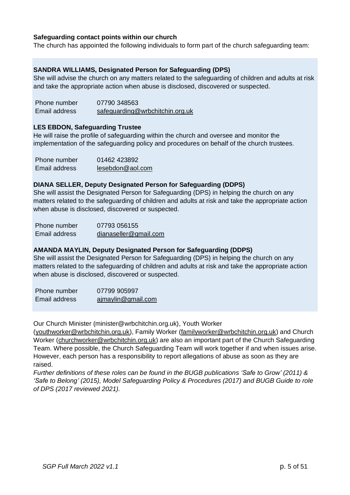### **Safeguarding contact points within our church**

The church has appointed the following individuals to form part of the church safeguarding team:

#### **SANDRA WILLIAMS, Designated Person for Safeguarding (DPS)**

She will advise the church on any matters related to the safeguarding of children and adults at risk and take the appropriate action when abuse is disclosed, discovered or suspected.

| Phone number  | 07790 348563                    |
|---------------|---------------------------------|
| Email address | safeguarding@wrbchitchin.org.uk |

#### **LES EBDON, Safeguarding Trustee**

He will raise the profile of safeguarding within the church and oversee and monitor the implementation of the safeguarding policy and procedures on behalf of the church trustees.

| Phone number  | 01462 423892     |
|---------------|------------------|
| Email address | lesebdon@aol.com |

#### **DIANA SELLER, Deputy Designated Person for Safeguarding (DDPS)**

She will assist the Designated Person for Safeguarding (DPS) in helping the church on any matters related to the safeguarding of children and adults at risk and take the appropriate action when abuse is disclosed, discovered or suspected.

| Phone number  | 07793 056155          |
|---------------|-----------------------|
| Email address | dianaseller@gmail.com |

#### **AMANDA MAYLIN, Deputy Designated Person for Safeguarding (DDPS)**

She will assist the Designated Person for Safeguarding (DPS) in helping the church on any matters related to the safeguarding of children and adults at risk and take the appropriate action when abuse is disclosed, discovered or suspected.

Phone number 07799 905997 Email address [ajmaylin@gmail.com](mailto:ajmaylin@gmail.com)

Our Church Minister (minister@wrbchitchin.org.uk), Youth Worker

[\(youthworker@wrbchitchin.org.uk\)](mailto:youthworker@wrbchitchin.org.uk), Family Worker [\(familyworker@wrbchitchin.org.uk\)](mailto:familyworker@wrbchitchin.org.uk) and Church Worker [\(churchworker@wrbchitchin.org.uk\)](mailto:churchworker@wrbchitchin.org.uk) are also an important part of the Church Safeguarding Team. Where possible, the Church Safeguarding Team will work together if and when issues arise. However, each person has a responsibility to report allegations of abuse as soon as they are raised.

*Further definitions of these roles can be found in the BUGB publications 'Safe to Grow' (2011) & 'Safe to Belong' (2015), Model Safeguarding Policy & Procedures (2017) and BUGB Guide to role of DPS (2017 reviewed 2021).*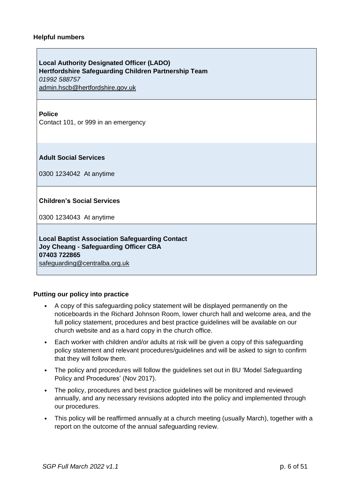#### **Helpful numbers**

**Local Authority Designated Officer (LADO) Hertfordshire Safeguarding Children Partnership Team** *01992 588757* [admin.hscb@hertfordshire.gov.uk](mailto:admin.hscb@hertfordshire.gov.uk)

#### **Police**

Contact 101, or 999 in an emergency

**Adult Social Services**

0300 1234042 At anytime

#### **Children's Social Services**

0300 1234043 At anytime

**Local Baptist Association Safeguarding Contact Joy Cheang - Safeguarding Officer CBA 07403 722865** [safeguarding@centralba.org.uk](mailto:safeguarding@centralba.org.uk)

#### **Putting our policy into practice**

- A copy of this safeguarding policy statement will be displayed permanently on the noticeboards in the Richard Johnson Room, lower church hall and welcome area, and the full policy statement, procedures and best practice guidelines will be available on our church website and as a hard copy in the church office.
- Each worker with children and/or adults at risk will be given a copy of this safeguarding policy statement and relevant procedures/guidelines and will be asked to sign to confirm that they will follow them.
- The policy and procedures will follow the guidelines set out in BU 'Model Safeguarding Policy and Procedures' (Nov 2017).
- The policy, procedures and best practice guidelines will be monitored and reviewed annually, and any necessary revisions adopted into the policy and implemented through our procedures.
- This policy will be reaffirmed annually at a church meeting (usually March), together with a report on the outcome of the annual safeguarding review.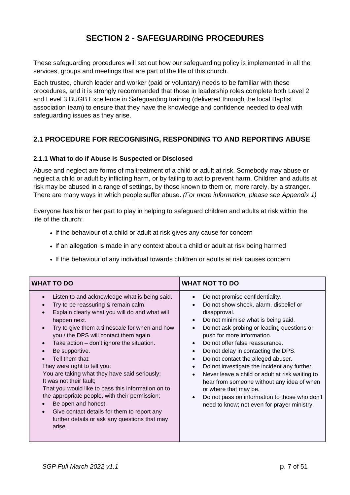### **SECTION 2 - SAFEGUARDING PROCEDURES**

These safeguarding procedures will set out how our safeguarding policy is implemented in all the services, groups and meetings that are part of the life of this church.

Each trustee, church leader and worker (paid or voluntary) needs to be familiar with these procedures, and it is strongly recommended that those in leadership roles complete both Level 2 and Level 3 BUGB Excellence in Safeguarding training (delivered through the local Baptist association team) to ensure that they have the knowledge and confidence needed to deal with safeguarding issues as they arise.

### **2.1 PROCEDURE FOR RECOGNISING, RESPONDING TO AND REPORTING ABUSE**

### **2.1.1 What to do if Abuse is Suspected or Disclosed**

Abuse and neglect are forms of maltreatment of a child or adult at risk. Somebody may abuse or neglect a child or adult by inflicting harm, or by failing to act to prevent harm. Children and adults at risk may be abused in a range of settings, by those known to them or, more rarely, by a stranger. There are many ways in which people suffer abuse. *(For more information, please see Appendix 1)*

Everyone has his or her part to play in helping to safeguard children and adults at risk within the life of the church:

- If the behaviour of a child or adult at risk gives any cause for concern
- If an allegation is made in any context about a child or adult at risk being harmed
- If the behaviour of any individual towards children or adults at risk causes concern

- Listen to and acknowledge what is being said.
- Try to be reassuring & remain calm.
- Explain clearly what you will do and what will happen next.
- Try to give them a timescale for when and how you / the DPS will contact them again.
- Take  $action don't ignore the situation.$
- Be supportive.
- Tell them that:
- They were right to tell you:

 You are taking what they have said seriously; It was not their fault;

 That you would like to pass this information on to the appropriate people, with their permission;

- Be open and honest.
- Give contact details for them to report any further details or ask any questions that may arise.

### **WHAT TO DO WHAT NOT TO DO**

- Do not promise confidentiality.
- Do not show shock, alarm, disbelief or disapproval.
- Do not minimise what is being said.
- Do not ask probing or leading questions or push for more information.
- Do not offer false reassurance.
- Do not delay in contacting the DPS.
- Do not contact the alleged abuser.
- Do not investigate the incident any further.
- Never leave a child or adult at risk waiting to hear from someone without any idea of when or where that may be.
- Do not pass on information to those who don't need to know; not even for prayer ministry.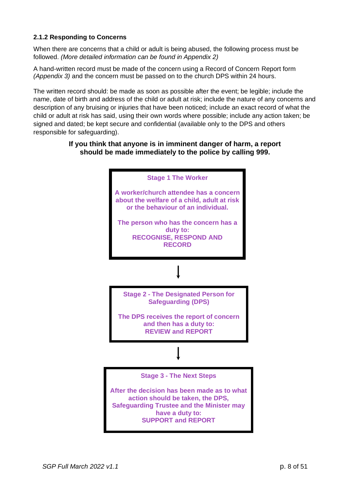### **2.1.2 Responding to Concerns**

When there are concerns that a child or adult is being abused, the following process must be followed. *(More detailed information can be found in Appendix 2)*

A hand-written record must be made of the concern using a Record of Concern Report form *(Appendix 3)* and the concern must be passed on to the church DPS within 24 hours.

The written record should: be made as soon as possible after the event; be legible; include the name, date of birth and address of the child or adult at risk; include the nature of any concerns and description of any bruising or injuries that have been noticed; include an exact record of what the child or adult at risk has said, using their own words where possible; include any action taken; be signed and dated; be kept secure and confidential (available only to the DPS and others responsible for safeguarding).

### **If you think that anyone is in imminent danger of harm, a report should be made immediately to the police by calling 999.**

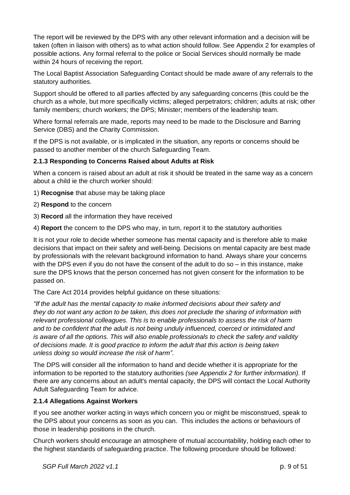The report will be reviewed by the DPS with any other relevant information and a decision will be taken (often in liaison with others) as to what action should follow. See Appendix 2 for examples of possible actions. Any formal referral to the police or Social Services should normally be made within 24 hours of receiving the report.

The Local Baptist Association Safeguarding Contact should be made aware of any referrals to the statutory authorities.

Support should be offered to all parties affected by any safeguarding concerns (this could be the church as a whole, but more specifically victims; alleged perpetrators; children; adults at risk; other family members; church workers; the DPS; Minister; members of the leadership team.

Where formal referrals are made, reports may need to be made to the Disclosure and Barring Service (DBS) and the Charity Commission.

If the DPS is not available, or is implicated in the situation, any reports or concerns should be passed to another member of the church Safeguarding Team.

### **2.1.3 Responding to Concerns Raised about Adults at Risk**

When a concern is raised about an adult at risk it should be treated in the same way as a concern about a child ie the church worker should:

- 1) **Recognise** that abuse may be taking place
- 2) **Respond** to the concern
- 3) **Record** all the information they have received

4) **Report** the concern to the DPS who may, in turn, report it to the statutory authorities

It is not your role to decide whether someone has mental capacity and is therefore able to make decisions that impact on their safety and well-being. Decisions on mental capacity are best made by professionals with the relevant background information to hand. Always share your concerns with the DPS even if you do not have the consent of the adult to do so – in this instance, make sure the DPS knows that the person concerned has not given consent for the information to be passed on.

The Care Act 2014 provides helpful guidance on these situations:

*"If the adult has the mental capacity to make informed decisions about their safety and they do not want any action to be taken, this does not preclude the sharing of information with relevant professional colleagues. This is to enable professionals to assess the risk of harm and to be confident that the adult is not being unduly influenced, coerced or intimidated and is aware of all the options. This will also enable professionals to check the safety and validity of decisions made. It is good practice to inform the adult that this action is being taken unless doing so would increase the risk of harm".*

The DPS will consider all the information to hand and decide whether it is appropriate for the information to be reported to the statutory authorities *(see Appendix 2 for further information).* If there are any concerns about an adult's mental capacity, the DPS will contact the Local Authority Adult Safeguarding Team for advice.

### **2.1.4 Allegations Against Workers**

If you see another worker acting in ways which concern you or might be misconstrued, speak to the DPS about your concerns as soon as you can. This includes the actions or behaviours of those in leadership positions in the church.

Church workers should encourage an atmosphere of mutual accountability, holding each other to the highest standards of safeguarding practice. The following procedure should be followed: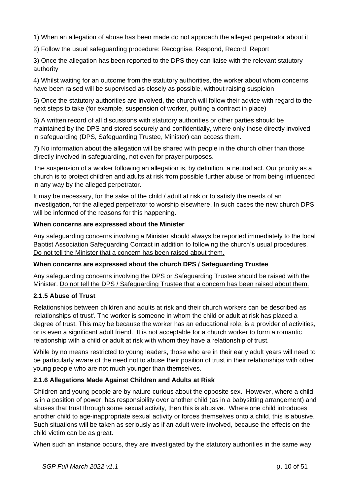1) When an allegation of abuse has been made do not approach the alleged perpetrator about it

2) Follow the usual safeguarding procedure: Recognise, Respond, Record, Report

3) Once the allegation has been reported to the DPS they can liaise with the relevant statutory authority

4) Whilst waiting for an outcome from the statutory authorities, the worker about whom concerns have been raised will be supervised as closely as possible, without raising suspicion

5) Once the statutory authorities are involved, the church will follow their advice with regard to the next steps to take (for example, suspension of worker, putting a contract in place)

6) A written record of all discussions with statutory authorities or other parties should be maintained by the DPS and stored securely and confidentially, where only those directly involved in safeguarding (DPS, Safeguarding Trustee, Minister) can access them.

7) No information about the allegation will be shared with people in the church other than those directly involved in safeguarding, not even for prayer purposes.

The suspension of a worker following an allegation is, by definition, a neutral act. Our priority as a church is to protect children and adults at risk from possible further abuse or from being influenced in any way by the alleged perpetrator.

It may be necessary, for the sake of the child / adult at risk or to satisfy the needs of an investigation, for the alleged perpetrator to worship elsewhere. In such cases the new church DPS will be informed of the reasons for this happening.

### **When concerns are expressed about the Minister**

Any safeguarding concerns involving a Minister should always be reported immediately to the local Baptist Association Safeguarding Contact in addition to following the church's usual procedures. Do not tell the Minister that a concern has been raised about them.

### **When concerns are expressed about the church DPS / Safeguarding Trustee**

Any safeguarding concerns involving the DPS or Safeguarding Trustee should be raised with the Minister. Do not tell the DPS / Safeguarding Trustee that a concern has been raised about them.

### **2.1.5 Abuse of Trust**

Relationships between children and adults at risk and their church workers can be described as 'relationships of trust'. The worker is someone in whom the child or adult at risk has placed a degree of trust. This may be because the worker has an educational role, is a provider of activities, or is even a significant adult friend. It is not acceptable for a church worker to form a romantic relationship with a child or adult at risk with whom they have a relationship of trust.

While by no means restricted to young leaders, those who are in their early adult years will need to be particularly aware of the need not to abuse their position of trust in their relationships with other young people who are not much younger than themselves.

### **2.1.6 Allegations Made Against Children and Adults at Risk**

Children and young people are by nature curious about the opposite sex. However, where a child is in a position of power, has responsibility over another child (as in a babysitting arrangement) and abuses that trust through some sexual activity, then this is abusive. Where one child introduces another child to age-inappropriate sexual activity or forces themselves onto a child, this is abusive. Such situations will be taken as seriously as if an adult were involved, because the effects on the child victim can be as great.

When such an instance occurs, they are investigated by the statutory authorities in the same way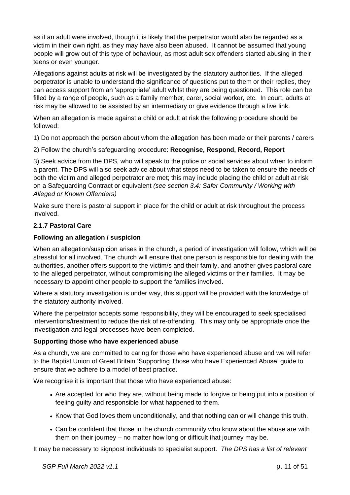as if an adult were involved, though it is likely that the perpetrator would also be regarded as a victim in their own right, as they may have also been abused. It cannot be assumed that young people will grow out of this type of behaviour, as most adult sex offenders started abusing in their teens or even younger.

Allegations against adults at risk will be investigated by the statutory authorities. If the alleged perpetrator is unable to understand the significance of questions put to them or their replies, they can access support from an 'appropriate' adult whilst they are being questioned. This role can be filled by a range of people, such as a family member, carer, social worker, etc. In court, adults at risk may be allowed to be assisted by an intermediary or give evidence through a live link.

When an allegation is made against a child or adult at risk the following procedure should be followed:

1) Do not approach the person about whom the allegation has been made or their parents / carers

2) Follow the church's safeguarding procedure: **Recognise, Respond, Record, Report**

3) Seek advice from the DPS, who will speak to the police or social services about when to inform a parent. The DPS will also seek advice about what steps need to be taken to ensure the needs of both the victim and alleged perpetrator are met; this may include placing the child or adult at risk on a Safeguarding Contract or equivalent *(see section 3.4: Safer Community / Working with Alleged or Known Offenders)*

Make sure there is pastoral support in place for the child or adult at risk throughout the process involved.

### **2.1.7 Pastoral Care**

### **Following an allegation / suspicion**

When an allegation/suspicion arises in the church, a period of investigation will follow, which will be stressful for all involved. The church will ensure that one person is responsible for dealing with the authorities, another offers support to the victim/s and their family, and another gives pastoral care to the alleged perpetrator, without compromising the alleged victims or their families. It may be necessary to appoint other people to support the families involved.

Where a statutory investigation is under way, this support will be provided with the knowledge of the statutory authority involved.

Where the perpetrator accepts some responsibility, they will be encouraged to seek specialised interventions/treatment to reduce the risk of re-offending. This may only be appropriate once the investigation and legal processes have been completed.

### **Supporting those who have experienced abuse**

As a church, we are committed to caring for those who have experienced abuse and we will refer to the Baptist Union of Great Britain 'Supporting Those who have Experienced Abuse' guide to ensure that we adhere to a model of best practice.

We recognise it is important that those who have experienced abuse:

- Are accepted for who they are, without being made to forgive or being put into a position of feeling guilty and responsible for what happened to them.
- Know that God loves them unconditionally, and that nothing can or will change this truth.
- Can be confident that those in the church community who know about the abuse are with them on their journey – no matter how long or difficult that journey may be.

It may be necessary to signpost individuals to specialist support. *The DPS has a list of relevant*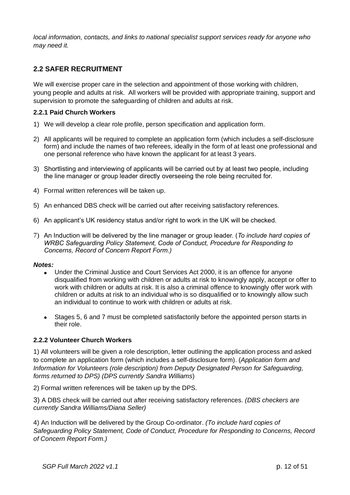*local information, contacts, and links to national specialist support services ready for anyone who may need it.*

### **2.2 SAFER RECRUITMENT**

We will exercise proper care in the selection and appointment of those working with children, young people and adults at risk. All workers will be provided with appropriate training, support and supervision to promote the safeguarding of children and adults at risk.

### **2.2.1 Paid Church Workers**

- 1) We will develop a clear role profile, person specification and application form.
- 2) All applicants will be required to complete an application form (which includes a self-disclosure form) and include the names of two referees, ideally in the form of at least one professional and one personal reference who have known the applicant for at least 3 years.
- 3) Shortlisting and interviewing of applicants will be carried out by at least two people, including the line manager or group leader directly overseeing the role being recruited for.
- 4) Formal written references will be taken up.
- 5) An enhanced DBS check will be carried out after receiving satisfactory references.
- 6) An applicant's UK residency status and/or right to work in the UK will be checked.
- 7) An Induction will be delivered by the line manager or group leader. (*To include hard copies of WRBC Safeguarding Policy Statement, Code of Conduct, Procedure for Responding to Concerns, Record of Concern Report Form.)*

#### *Notes:*

- Under the Criminal Justice and Court Services Act 2000, it is an offence for anyone disqualified from working with children or adults at risk to knowingly apply, accept or offer to work with children or adults at risk. It is also a criminal offence to knowingly offer work with children or adults at risk to an individual who is so disqualified or to knowingly allow such an individual to continue to work with children or adults at risk.
- Stages 5, 6 and 7 must be completed satisfactorily before the appointed person starts in their role.

### **2.2.2 Volunteer Church Workers**

1) All volunteers will be given a role description, letter outlining the application process and asked to complete an application form (which includes a self-disclosure form). (*Application form and Information for Volunteers (role description) from Deputy Designated Person for Safeguarding, forms returned to DPS) (DPS currently Sandra Williams*)

2) Formal written references will be taken up by the DPS.

3) A DBS check will be carried out after receiving satisfactory references. *(DBS checkers are currently Sandra Williams/Diana Seller)*

4) An Induction will be delivered by the Group Co-ordinator. *(To include hard copies of Safeguarding Policy Statement, Code of Conduct, Procedure for Responding to Concerns, Record of Concern Report Form.)*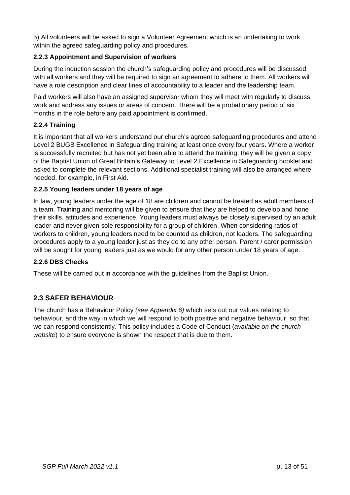5) All volunteers will be asked to sign a Volunteer Agreement which is an undertaking to work within the agreed safeguarding policy and procedures.

### **2.2.3 Appointment and Supervision of workers**

During the induction session the church's safeguarding policy and procedures will be discussed with all workers and they will be required to sign an agreement to adhere to them. All workers will have a role description and clear lines of accountability to a leader and the leadership team.

Paid workers will also have an assigned supervisor whom they will meet with regularly to discuss work and address any issues or areas of concern. There will be a probationary period of six months in the role before any paid appointment is confirmed.

### **2.2.4 Training**

It is important that all workers understand our church's agreed safeguarding procedures and attend Level 2 BUGB Excellence in Safeguarding training at least once every four years. Where a worker is successfully recruited but has not yet been able to attend the training, they will be given a copy of the Baptist Union of Great Britain's Gateway to Level 2 Excellence in Safeguarding booklet and asked to complete the relevant sections. Additional specialist training will also be arranged where needed, for example, in First Aid.

### **2.2.5 Young leaders under 18 years of age**

In law, young leaders under the age of 18 are children and cannot be treated as adult members of a team. Training and mentoring will be given to ensure that they are helped to develop and hone their skills, attitudes and experience. Young leaders must always be closely supervised by an adult leader and never given sole responsibility for a group of children. When considering ratios of workers to children, young leaders need to be counted as children, not leaders. The safeguarding procedures apply to a young leader just as they do to any other person. Parent / carer permission will be sought for young leaders just as we would for any other person under 18 years of age.

### **2.2.6 DBS Checks**

These will be carried out in accordance with the guidelines from the Baptist Union.

### **2.3 SAFER BEHAVIOUR**

The church has a Behaviour Policy *(see Appendix 6)* which sets out our values relating to behaviour, and the way in which we will respond to both positive and negative behaviour, so that we can respond consistently. This policy includes a Code of Conduct (*available on the church website*) to ensure everyone is shown the respect that is due to them.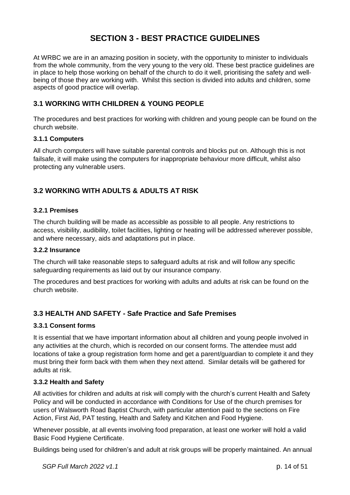### **SECTION 3 - BEST PRACTICE GUIDELINES**

At WRBC we are in an amazing position in society, with the opportunity to minister to individuals from the whole community, from the very young to the very old. These best practice guidelines are in place to help those working on behalf of the church to do it well, prioritising the safety and wellbeing of those they are working with. Whilst this section is divided into adults and children, some aspects of good practice will overlap.

### **3.1 WORKING WITH CHILDREN & YOUNG PEOPLE**

The procedures and best practices for working with children and young people can be found on the church website.

### **3.1.1 Computers**

All church computers will have suitable parental controls and blocks put on. Although this is not failsafe, it will make using the computers for inappropriate behaviour more difficult, whilst also protecting any vulnerable users.

### **3.2 WORKING WITH ADULTS & ADULTS AT RISK**

### **3.2.1 Premises**

The church building will be made as accessible as possible to all people. Any restrictions to access, visibility, audibility, toilet facilities, lighting or heating will be addressed wherever possible, and where necessary, aids and adaptations put in place.

### **3.2.2 Insurance**

The church will take reasonable steps to safeguard adults at risk and will follow any specific safeguarding requirements as laid out by our insurance company.

The procedures and best practices for working with adults and adults at risk can be found on the church website.

### **3.3 HEALTH AND SAFETY - Safe Practice and Safe Premises**

### **3.3.1 Consent forms**

It is essential that we have important information about all children and young people involved in any activities at the church, which is recorded on our consent forms. The attendee must add locations of take a group registration form home and get a parent/guardian to complete it and they must bring their form back with them when they next attend. Similar details will be gathered for adults at risk.

### **3.3.2 Health and Safety**

All activities for children and adults at risk will comply with the church's current Health and Safety Policy and will be conducted in accordance with Conditions for Use of the church premises for users of Walsworth Road Baptist Church, with particular attention paid to the sections on Fire Action, First Aid, PAT testing, Health and Safety and Kitchen and Food Hygiene.

Whenever possible, at all events involving food preparation, at least one worker will hold a valid Basic Food Hygiene Certificate.

Buildings being used for children's and adult at risk groups will be properly maintained. An annual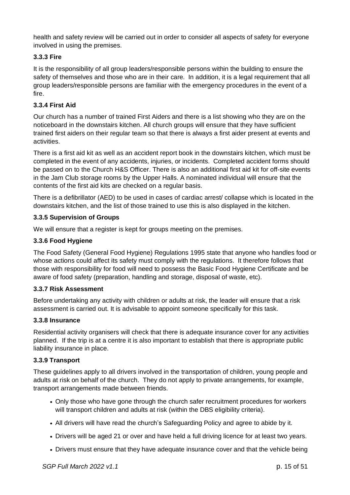health and safety review will be carried out in order to consider all aspects of safety for everyone involved in using the premises.

### **3.3.3 Fire**

It is the responsibility of all group leaders/responsible persons within the building to ensure the safety of themselves and those who are in their care. In addition, it is a legal requirement that all group leaders/responsible persons are familiar with the emergency procedures in the event of a fire.

### **3.3.4 First Aid**

Our church has a number of trained First Aiders and there is a list showing who they are on the noticeboard in the downstairs kitchen. All church groups will ensure that they have sufficient trained first aiders on their regular team so that there is always a first aider present at events and activities.

There is a first aid kit as well as an accident report book in the downstairs kitchen, which must be completed in the event of any accidents, injuries, or incidents. Completed accident forms should be passed on to the Church H&S Officer. There is also an additional first aid kit for off-site events in the Jam Club storage rooms by the Upper Halls. A nominated individual will ensure that the contents of the first aid kits are checked on a regular basis.

There is a defibrillator (AED) to be used in cases of cardiac arrest/ collapse which is located in the downstairs kitchen, and the list of those trained to use this is also displayed in the kitchen.

### **3.3.5 Supervision of Groups**

We will ensure that a register is kept for groups meeting on the premises.

### **3.3.6 Food Hygiene**

The Food Safety (General Food Hygiene) Regulations 1995 state that anyone who handles food or whose actions could affect its safety must comply with the regulations. It therefore follows that those with responsibility for food will need to possess the Basic Food Hygiene Certificate and be aware of food safety (preparation, handling and storage, disposal of waste, etc).

### **3.3.7 Risk Assessment**

Before undertaking any activity with children or adults at risk, the leader will ensure that a risk assessment is carried out. It is advisable to appoint someone specifically for this task.

### **3.3.8 Insurance**

Residential activity organisers will check that there is adequate insurance cover for any activities planned. If the trip is at a centre it is also important to establish that there is appropriate public liability insurance in place.

### **3.3.9 Transport**

These guidelines apply to all drivers involved in the transportation of children, young people and adults at risk on behalf of the church. They do not apply to private arrangements, for example, transport arrangements made between friends.

- Only those who have gone through the church safer recruitment procedures for workers will transport children and adults at risk (within the DBS eligibility criteria).
- All drivers will have read the church's Safeguarding Policy and agree to abide by it.
- Drivers will be aged 21 or over and have held a full driving licence for at least two years.
- Drivers must ensure that they have adequate insurance cover and that the vehicle being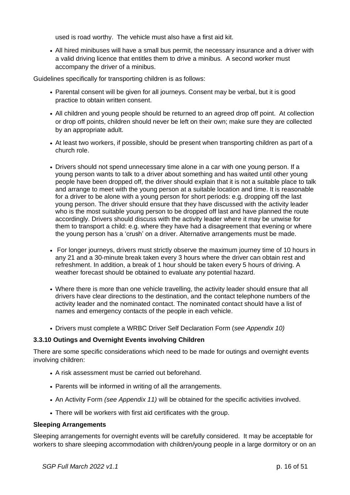used is road worthy. The vehicle must also have a first aid kit.

• All hired minibuses will have a small bus permit, the necessary insurance and a driver with a valid driving licence that entitles them to drive a minibus. A second worker must accompany the driver of a minibus.

Guidelines specifically for transporting children is as follows:

- Parental consent will be given for all journeys. Consent may be verbal, but it is good practice to obtain written consent.
- All children and young people should be returned to an agreed drop off point. At collection or drop off points, children should never be left on their own; make sure they are collected by an appropriate adult.
- At least two workers, if possible, should be present when transporting children as part of a church role.
- Drivers should not spend unnecessary time alone in a car with one young person. If a young person wants to talk to a driver about something and has waited until other young people have been dropped off, the driver should explain that it is not a suitable place to talk and arrange to meet with the young person at a suitable location and time. It is reasonable for a driver to be alone with a young person for short periods: e.g. dropping off the last young person. The driver should ensure that they have discussed with the activity leader who is the most suitable young person to be dropped off last and have planned the route accordingly. Drivers should discuss with the activity leader where it may be unwise for them to transport a child: e.g. where they have had a disagreement that evening or where the young person has a 'crush' on a driver. Alternative arrangements must be made.
- For longer journeys, drivers must strictly observe the maximum journey time of 10 hours in any 21 and a 30-minute break taken every 3 hours where the driver can obtain rest and refreshment. In addition, a break of 1 hour should be taken every 5 hours of driving. A weather forecast should be obtained to evaluate any potential hazard.
- Where there is more than one vehicle travelling, the activity leader should ensure that all drivers have clear directions to the destination, and the contact telephone numbers of the activity leader and the nominated contact. The nominated contact should have a list of names and emergency contacts of the people in each vehicle.
- Drivers must complete a WRBC Driver Self Declaration Form (*see Appendix 10)*

#### **3.3.10 Outings and Overnight Events involving Children**

There are some specific considerations which need to be made for outings and overnight events involving children:

- A risk assessment must be carried out beforehand.
- Parents will be informed in writing of all the arrangements.
- An Activity Form *(see Appendix 11)* will be obtained for the specific activities involved.
- There will be workers with first aid certificates with the group.

#### **Sleeping Arrangements**

Sleeping arrangements for overnight events will be carefully considered. It may be acceptable for workers to share sleeping accommodation with children/young people in a large dormitory or on an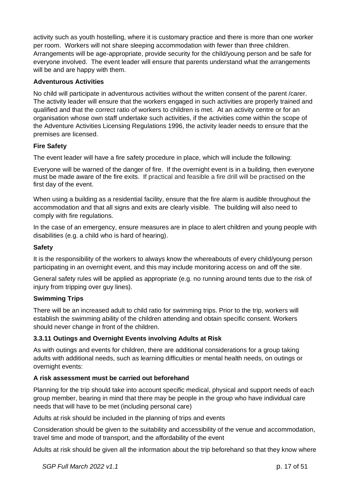activity such as youth hostelling, where it is customary practice and there is more than one worker per room. Workers will not share sleeping accommodation with fewer than three children. Arrangements will be age-appropriate, provide security for the child/young person and be safe for everyone involved. The event leader will ensure that parents understand what the arrangements will be and are happy with them.

### **Adventurous Activities**

No child will participate in adventurous activities without the written consent of the parent /carer. The activity leader will ensure that the workers engaged in such activities are properly trained and qualified and that the correct ratio of workers to children is met. At an activity centre or for an organisation whose own staff undertake such activities, if the activities come within the scope of the Adventure Activities Licensing Regulations 1996, the activity leader needs to ensure that the premises are licensed.

### **Fire Safety**

The event leader will have a fire safety procedure in place, which will include the following:

Everyone will be warned of the danger of fire. If the overnight event is in a building, then everyone must be made aware of the fire exits. If practical and feasible a fire drill will be practised on the first day of the event.

When using a building as a residential facility, ensure that the fire alarm is audible throughout the accommodation and that all signs and exits are clearly visible. The building will also need to comply with fire regulations.

In the case of an emergency, ensure measures are in place to alert children and young people with disabilities (e.g. a child who is hard of hearing).

### **Safety**

It is the responsibility of the workers to always know the whereabouts of every child/young person participating in an overnight event, and this may include monitoring access on and off the site.

General safety rules will be applied as appropriate (e.g. no running around tents due to the risk of injury from tripping over guy lines).

### **Swimming Trips**

There will be an increased adult to child ratio for swimming trips. Prior to the trip, workers will establish the swimming ability of the children attending and obtain specific consent. Workers should never change in front of the children.

### **3.3.11 Outings and Overnight Events involving Adults at Risk**

As with outings and events for children, there are additional considerations for a group taking adults with additional needs, such as learning difficulties or mental health needs, on outings or overnight events:

### **A risk assessment must be carried out beforehand**

Planning for the trip should take into account specific medical, physical and support needs of each group member, bearing in mind that there may be people in the group who have individual care needs that will have to be met (including personal care)

Adults at risk should be included in the planning of trips and events

Consideration should be given to the suitability and accessibility of the venue and accommodation, travel time and mode of transport, and the affordability of the event

Adults at risk should be given all the information about the trip beforehand so that they know where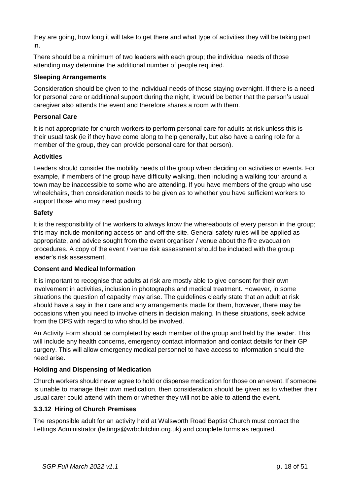they are going, how long it will take to get there and what type of activities they will be taking part in.

There should be a minimum of two leaders with each group; the individual needs of those attending may determine the additional number of people required.

### **Sleeping Arrangements**

Consideration should be given to the individual needs of those staying overnight. If there is a need for personal care or additional support during the night, it would be better that the person's usual caregiver also attends the event and therefore shares a room with them.

### **Personal Care**

It is not appropriate for church workers to perform personal care for adults at risk unless this is their usual task (ie if they have come along to help generally, but also have a caring role for a member of the group, they can provide personal care for that person).

### **Activities**

Leaders should consider the mobility needs of the group when deciding on activities or events. For example, if members of the group have difficulty walking, then including a walking tour around a town may be inaccessible to some who are attending. If you have members of the group who use wheelchairs, then consideration needs to be given as to whether you have sufficient workers to support those who may need pushing.

### **Safety**

It is the responsibility of the workers to always know the whereabouts of every person in the group; this may include monitoring access on and off the site. General safety rules will be applied as appropriate, and advice sought from the event organiser / venue about the fire evacuation procedures. A copy of the event / venue risk assessment should be included with the group leader's risk assessment.

### **Consent and Medical Information**

It is important to recognise that adults at risk are mostly able to give consent for their own involvement in activities, inclusion in photographs and medical treatment. However, in some situations the question of capacity may arise. The guidelines clearly state that an adult at risk should have a say in their care and any arrangements made for them, however, there may be occasions when you need to involve others in decision making. In these situations, seek advice from the DPS with regard to who should be involved.

An Activity Form should be completed by each member of the group and held by the leader. This will include any health concerns, emergency contact information and contact details for their GP surgery. This will allow emergency medical personnel to have access to information should the need arise.

### **Holding and Dispensing of Medication**

Church workers should never agree to hold or dispense medication for those on an event. If someone is unable to manage their own medication, then consideration should be given as to whether their usual carer could attend with them or whether they will not be able to attend the event.

### **3.3.12 Hiring of Church Premises**

The responsible adult for an activity held at Walsworth Road Baptist Church must contact the Lettings Administrator (lettings@wrbchitchin.org.uk) and complete forms as required.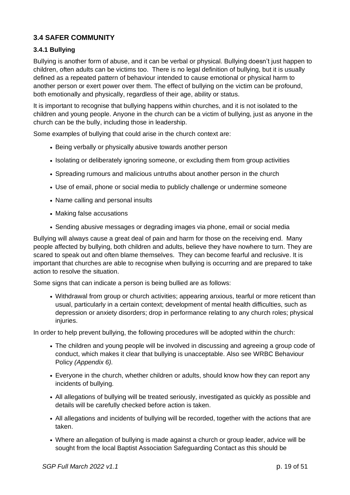### **3.4 SAFER COMMUNITY**

### **3.4.1 Bullying**

Bullying is another form of abuse, and it can be verbal or physical. Bullying doesn't just happen to children, often adults can be victims too. There is no legal definition of bullying, but it is usually defined as a repeated pattern of behaviour intended to cause emotional or physical harm to another person or exert power over them. The effect of bullying on the victim can be profound, both emotionally and physically, regardless of their age, ability or status.

It is important to recognise that bullying happens within churches, and it is not isolated to the children and young people. Anyone in the church can be a victim of bullying, just as anyone in the church can be the bully, including those in leadership.

Some examples of bullying that could arise in the church context are:

- Being verbally or physically abusive towards another person
- Isolating or deliberately ignoring someone, or excluding them from group activities
- Spreading rumours and malicious untruths about another person in the church
- Use of email, phone or social media to publicly challenge or undermine someone
- Name calling and personal insults
- Making false accusations
- Sending abusive messages or degrading images via phone, email or social media

Bullying will always cause a great deal of pain and harm for those on the receiving end. Many people affected by bullying, both children and adults, believe they have nowhere to turn. They are scared to speak out and often blame themselves. They can become fearful and reclusive. It is important that churches are able to recognise when bullying is occurring and are prepared to take action to resolve the situation.

Some signs that can indicate a person is being bullied are as follows:

• Withdrawal from group or church activities; appearing anxious, tearful or more reticent than usual, particularly in a certain context; development of mental health difficulties, such as depression or anxiety disorders; drop in performance relating to any church roles; physical injuries.

In order to help prevent bullying, the following procedures will be adopted within the church:

- The children and young people will be involved in discussing and agreeing a group code of conduct, which makes it clear that bullying is unacceptable. Also see WRBC Behaviour Policy *(Appendix 6).*
- Everyone in the church, whether children or adults, should know how they can report any incidents of bullying.
- All allegations of bullying will be treated seriously, investigated as quickly as possible and details will be carefully checked before action is taken.
- All allegations and incidents of bullying will be recorded, together with the actions that are taken.
- Where an allegation of bullying is made against a church or group leader, advice will be sought from the local Baptist Association Safeguarding Contact as this should be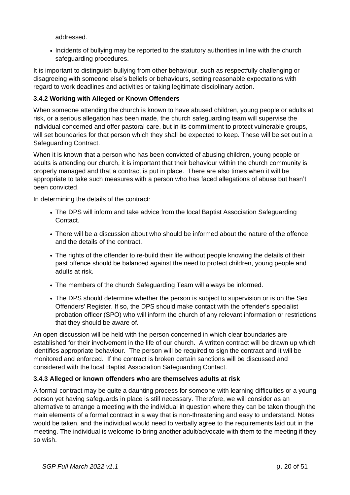addressed.

• Incidents of bullying may be reported to the statutory authorities in line with the church safeguarding procedures.

It is important to distinguish bullying from other behaviour, such as respectfully challenging or disagreeing with someone else's beliefs or behaviours, setting reasonable expectations with regard to work deadlines and activities or taking legitimate disciplinary action.

### **3.4.2 Working with Alleged or Known Offenders**

When someone attending the church is known to have abused children, young people or adults at risk, or a serious allegation has been made, the church safeguarding team will supervise the individual concerned and offer pastoral care, but in its commitment to protect vulnerable groups, will set boundaries for that person which they shall be expected to keep. These will be set out in a Safeguarding Contract.

When it is known that a person who has been convicted of abusing children, young people or adults is attending our church, it is important that their behaviour within the church community is properly managed and that a contract is put in place. There are also times when it will be appropriate to take such measures with a person who has faced allegations of abuse but hasn't been convicted.

In determining the details of the contract:

- The DPS will inform and take advice from the local Baptist Association Safeguarding Contact.
- There will be a discussion about who should be informed about the nature of the offence and the details of the contract.
- The rights of the offender to re-build their life without people knowing the details of their past offence should be balanced against the need to protect children, young people and adults at risk.
- The members of the church Safeguarding Team will always be informed.
- The DPS should determine whether the person is subject to supervision or is on the Sex Offenders' Register. If so, the DPS should make contact with the offender's specialist probation officer (SPO) who will inform the church of any relevant information or restrictions that they should be aware of.

An open discussion will be held with the person concerned in which clear boundaries are established for their involvement in the life of our church. A written contract will be drawn up which identifies appropriate behaviour. The person will be required to sign the contract and it will be monitored and enforced. If the contract is broken certain sanctions will be discussed and considered with the local Baptist Association Safeguarding Contact.

### **3.4.3 Alleged or known offenders who are themselves adults at risk**

A formal contract may be quite a daunting process for someone with learning difficulties or a young person yet having safeguards in place is still necessary. Therefore, we will consider as an alternative to arrange a meeting with the individual in question where they can be taken though the main elements of a formal contract in a way that is non-threatening and easy to understand. Notes would be taken, and the individual would need to verbally agree to the requirements laid out in the meeting. The individual is welcome to bring another adult/advocate with them to the meeting if they so wish.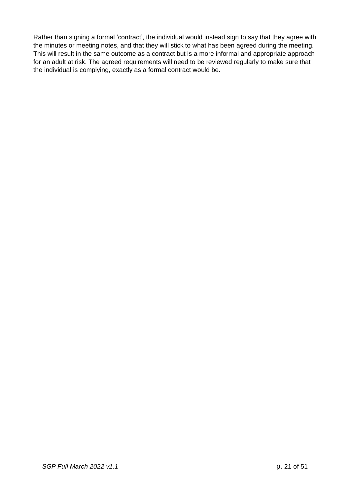Rather than signing a formal 'contract', the individual would instead sign to say that they agree with the minutes or meeting notes, and that they will stick to what has been agreed during the meeting. This will result in the same outcome as a contract but is a more informal and appropriate approach for an adult at risk. The agreed requirements will need to be reviewed regularly to make sure that the individual is complying, exactly as a formal contract would be.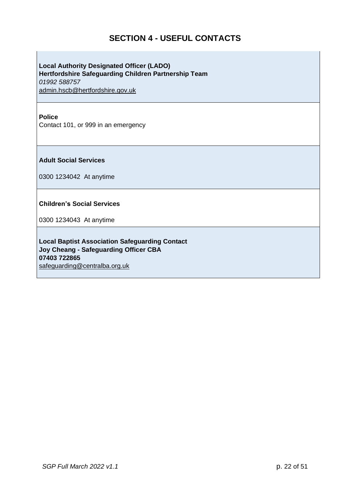### **SECTION 4 - USEFUL CONTACTS**

**Local Authority Designated Officer (LADO) Hertfordshire Safeguarding Children Partnership Team** *01992 588757* [admin.hscb@hertfordshire.gov.uk](mailto:admin.hscb@hertfordshire.gov.uk)

### **Police**

Contact 101, or 999 in an emergency

**Adult Social Services**

0300 1234042 At anytime

**Children's Social Services**

0300 1234043 At anytime

**Local Baptist Association Safeguarding Contact Joy Cheang - Safeguarding Officer CBA 07403 722865** [safeguarding@centralba.org.uk](mailto:safeguarding@centralba.org.uk)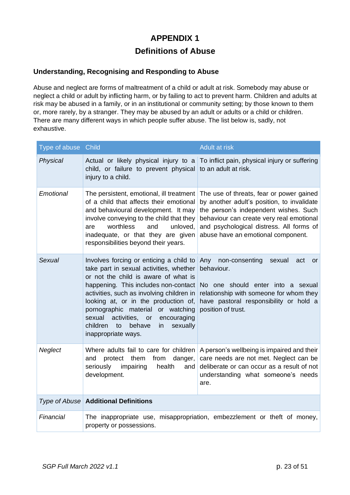### **APPENDIX 1**

### **Definitions of Abuse**

### **Understanding, Recognising and Responding to Abuse**

Abuse and neglect are forms of maltreatment of a child or adult at risk. Somebody may abuse or neglect a child or adult by inflicting harm, or by failing to act to prevent harm. Children and adults at risk may be abused in a family, or in an institutional or community setting; by those known to them or, more rarely, by a stranger. They may be abused by an adult or adults or a child or children. There are many different ways in which people suffer abuse. The list below is, sadly, not exhaustive.

| Type of abuse Child |                                                                                                                                                                                                                                                                                                                                                                                                                    | <b>Adult at risk</b>                                                                                                                                                                                                                                          |
|---------------------|--------------------------------------------------------------------------------------------------------------------------------------------------------------------------------------------------------------------------------------------------------------------------------------------------------------------------------------------------------------------------------------------------------------------|---------------------------------------------------------------------------------------------------------------------------------------------------------------------------------------------------------------------------------------------------------------|
| Physical            | Actual or likely physical injury to a<br>child, or failure to prevent physical<br>injury to a child.                                                                                                                                                                                                                                                                                                               | To inflict pain, physical injury or suffering<br>to an adult at risk.                                                                                                                                                                                         |
| Emotional           | The persistent, emotional, ill treatment<br>of a child that affects their emotional<br>and behavioural development. It may<br>involve conveying to the child that they<br>worthless<br>and<br>unloved,<br>are<br>inadequate, or that they are given<br>responsibilities beyond their years.                                                                                                                        | The use of threats, fear or power gained<br>by another adult's position, to invalidate<br>the person's independent wishes. Such<br>behaviour can create very real emotional<br>and psychological distress. All forms of<br>abuse have an emotional component. |
| <b>Sexual</b>       | Involves forcing or enticing a child to<br>take part in sexual activities, whether<br>or not the child is aware of what is<br>happening. This includes non-contact<br>activities, such as involving children in<br>looking at, or in the production of,<br>pornographic material<br>or watching<br>sexual<br>activities,<br>encouraging<br>or<br>children<br>behave<br>sexually<br>to<br>in<br>inappropriate ways. | Any<br>non-consenting<br>sexual<br>act<br><b>or</b><br>behaviour.<br>No one should enter into a sexual<br>relationship with someone for whom they<br>have pastoral responsibility or hold a<br>position of trust.                                             |
| Neglect             | protect<br>them<br>from<br>danger,<br>and<br>seriously<br>impairing<br>health<br>and<br>development.                                                                                                                                                                                                                                                                                                               | Where adults fail to care for children A person's wellbeing is impaired and their<br>care needs are not met. Neglect can be<br>deliberate or can occur as a result of not<br>understanding what someone's needs<br>are.                                       |
|                     | Type of Abuse   Additional Definitions                                                                                                                                                                                                                                                                                                                                                                             |                                                                                                                                                                                                                                                               |
| Financial           | property or possessions.                                                                                                                                                                                                                                                                                                                                                                                           | The inappropriate use, misappropriation, embezzlement or theft of money,                                                                                                                                                                                      |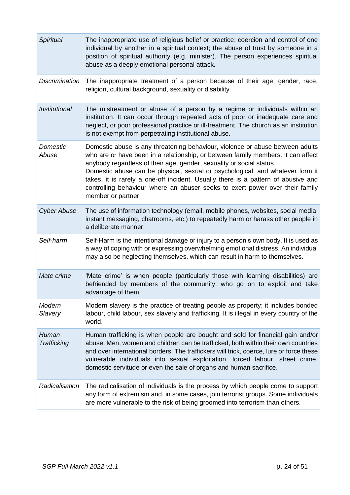| <b>Spiritual</b>         | The inappropriate use of religious belief or practice; coercion and control of one<br>individual by another in a spiritual context; the abuse of trust by someone in a<br>position of spiritual authority (e.g. minister). The person experiences spiritual<br>abuse as a deeply emotional personal attack.                                                                                                                                                                                                           |
|--------------------------|-----------------------------------------------------------------------------------------------------------------------------------------------------------------------------------------------------------------------------------------------------------------------------------------------------------------------------------------------------------------------------------------------------------------------------------------------------------------------------------------------------------------------|
| <b>Discrimination</b>    | The inappropriate treatment of a person because of their age, gender, race,<br>religion, cultural background, sexuality or disability.                                                                                                                                                                                                                                                                                                                                                                                |
| Institutional            | The mistreatment or abuse of a person by a regime or individuals within an<br>institution. It can occur through repeated acts of poor or inadequate care and<br>neglect, or poor professional practice or ill-treatment. The church as an institution<br>is not exempt from perpetrating institutional abuse.                                                                                                                                                                                                         |
| <b>Domestic</b><br>Abuse | Domestic abuse is any threatening behaviour, violence or abuse between adults<br>who are or have been in a relationship, or between family members. It can affect<br>anybody regardless of their age, gender, sexuality or social status.<br>Domestic abuse can be physical, sexual or psychological, and whatever form it<br>takes, it is rarely a one-off incident. Usually there is a pattern of abusive and<br>controlling behaviour where an abuser seeks to exert power over their family<br>member or partner. |
| <b>Cyber Abuse</b>       | The use of information technology (email, mobile phones, websites, social media,<br>instant messaging, chatrooms, etc.) to repeatedly harm or harass other people in<br>a deliberate manner.                                                                                                                                                                                                                                                                                                                          |
| Self-harm                | Self-Harm is the intentional damage or injury to a person's own body. It is used as<br>a way of coping with or expressing overwhelming emotional distress. An individual<br>may also be neglecting themselves, which can result in harm to themselves.                                                                                                                                                                                                                                                                |
| Mate crime               | 'Mate crime' is when people (particularly those with learning disabilities) are<br>befriended by members of the community, who go on to exploit and take<br>advantage of them.                                                                                                                                                                                                                                                                                                                                        |
| Modern<br>Slavery        | Modern slavery is the practice of treating people as property; it includes bonded<br>labour, child labour, sex slavery and trafficking. It is illegal in every country of the<br>world.                                                                                                                                                                                                                                                                                                                               |
| Human<br>Trafficking     | Human trafficking is when people are bought and sold for financial gain and/or<br>abuse. Men, women and children can be trafficked, both within their own countries<br>and over international borders. The traffickers will trick, coerce, lure or force these<br>vulnerable individuals into sexual exploitation, forced labour, street crime,<br>domestic servitude or even the sale of organs and human sacrifice.                                                                                                 |
| Radicalisation           | The radicalisation of individuals is the process by which people come to support<br>any form of extremism and, in some cases, join terrorist groups. Some individuals<br>are more vulnerable to the risk of being groomed into terrorism than others.                                                                                                                                                                                                                                                                 |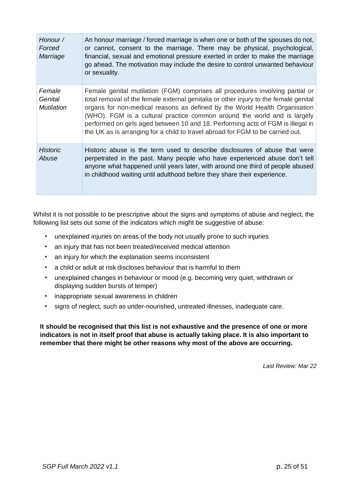| Honour /<br>Forced<br>Marriage         | An honour marriage / forced marriage is when one or both of the spouses do not,<br>or cannot, consent to the marriage. There may be physical, psychological,<br>financial, sexual and emotional pressure exerted in order to make the marriage<br>go ahead. The motivation may include the desire to control unwanted behaviour<br>or sexuality.                                                                                                                                                     |
|----------------------------------------|------------------------------------------------------------------------------------------------------------------------------------------------------------------------------------------------------------------------------------------------------------------------------------------------------------------------------------------------------------------------------------------------------------------------------------------------------------------------------------------------------|
| Female<br>Genital<br><b>Mutilation</b> | Female genital mutilation (FGM) comprises all procedures involving partial or<br>total removal of the female external genitalia or other injury to the female genital<br>organs for non-medical reasons as defined by the World Health Organisation<br>(WHO). FGM is a cultural practice common around the world and is largely<br>performed on girls aged between 10 and 18. Performing acts of FGM is illegal in<br>the UK as is arranging for a child to travel abroad for FGM to be carried out. |
| <b>Historic</b><br>Abuse               | Historic abuse is the term used to describe disclosures of abuse that were<br>perpetrated in the past. Many people who have experienced abuse don't tell<br>anyone what happened until years later, with around one third of people abused<br>in childhood waiting until adulthood before they share their experience.                                                                                                                                                                               |

Whilst it is not possible to be prescriptive about the signs and symptoms of abuse and neglect, the following list sets out some of the indicators which might be suggestive of abuse:

- unexplained injuries on areas of the body not usually prone to such injuries
- an injury that has not been treated/received medical attention
- an injury for which the explanation seems inconsistent
- a child or adult at risk discloses behaviour that is harmful to them
- unexplained changes in behaviour or mood (e.g. becoming very quiet, withdrawn or displaying sudden bursts of temper)
- inappropriate sexual awareness in children
- signs of neglect, such as under-nourished, untreated illnesses, inadequate care.

**It should be recognised that this list is not exhaustive and the presence of one or more indicators is not in itself proof that abuse is actually taking place. It is also important to remember that there might be other reasons why most of the above are occurring.**

*Last Review: Mar 22*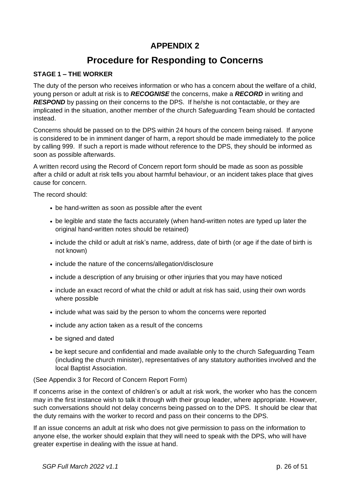### **APPENDIX 2**

### **Procedure for Responding to Concerns**

### **STAGE 1 – THE WORKER**

The duty of the person who receives information or who has a concern about the welfare of a child, young person or adult at risk is to *RECOGNISE* the concerns, make a *RECORD* in writing and **RESPOND** by passing on their concerns to the DPS. If he/she is not contactable, or they are implicated in the situation, another member of the church Safeguarding Team should be contacted instead.

Concerns should be passed on to the DPS within 24 hours of the concern being raised. If anyone is considered to be in imminent danger of harm, a report should be made immediately to the police by calling 999. If such a report is made without reference to the DPS, they should be informed as soon as possible afterwards.

A written record using the Record of Concern report form should be made as soon as possible after a child or adult at risk tells you about harmful behaviour, or an incident takes place that gives cause for concern.

The record should:

- be hand-written as soon as possible after the event
- be legible and state the facts accurately (when hand-written notes are typed up later the original hand-written notes should be retained)
- include the child or adult at risk's name, address, date of birth (or age if the date of birth is not known)
- include the nature of the concerns/allegation/disclosure
- include a description of any bruising or other injuries that you may have noticed
- include an exact record of what the child or adult at risk has said, using their own words where possible
- include what was said by the person to whom the concerns were reported
- include any action taken as a result of the concerns
- be signed and dated
- be kept secure and confidential and made available only to the church Safeguarding Team (including the church minister), representatives of any statutory authorities involved and the local Baptist Association.

#### (See Appendix 3 for Record of Concern Report Form)

If concerns arise in the context of children's or adult at risk work, the worker who has the concern may in the first instance wish to talk it through with their group leader, where appropriate. However, such conversations should not delay concerns being passed on to the DPS. It should be clear that the duty remains with the worker to record and pass on their concerns to the DPS.

If an issue concerns an adult at risk who does not give permission to pass on the information to anyone else, the worker should explain that they will need to speak with the DPS, who will have greater expertise in dealing with the issue at hand.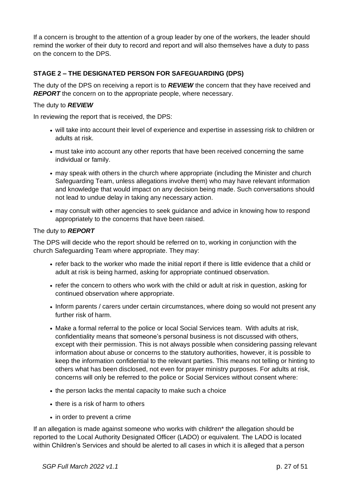If a concern is brought to the attention of a group leader by one of the workers, the leader should remind the worker of their duty to record and report and will also themselves have a duty to pass on the concern to the DPS.

### **STAGE 2 – THE DESIGNATED PERSON FOR SAFEGUARDING (DPS)**

The duty of the DPS on receiving a report is to *REVIEW* the concern that they have received and **REPORT** the concern on to the appropriate people, where necessary.

### The duty to *REVIEW*

In reviewing the report that is received, the DPS:

- will take into account their level of experience and expertise in assessing risk to children or adults at risk.
- must take into account any other reports that have been received concerning the same individual or family.
- may speak with others in the church where appropriate (including the Minister and church Safeguarding Team, unless allegations involve them) who may have relevant information and knowledge that would impact on any decision being made. Such conversations should not lead to undue delay in taking any necessary action.
- may consult with other agencies to seek guidance and advice in knowing how to respond appropriately to the concerns that have been raised.

### The duty to *REPORT*

The DPS will decide who the report should be referred on to, working in conjunction with the church Safeguarding Team where appropriate. They may:

- refer back to the worker who made the initial report if there is little evidence that a child or adult at risk is being harmed, asking for appropriate continued observation.
- refer the concern to others who work with the child or adult at risk in question, asking for continued observation where appropriate.
- Inform parents / carers under certain circumstances, where doing so would not present any further risk of harm.
- Make a formal referral to the police or local Social Services team. With adults at risk, confidentiality means that someone's personal business is not discussed with others, except with their permission. This is not always possible when considering passing relevant information about abuse or concerns to the statutory authorities, however, it is possible to keep the information confidential to the relevant parties. This means not telling or hinting to others what has been disclosed, not even for prayer ministry purposes. For adults at risk, concerns will only be referred to the police or Social Services without consent where:
- the person lacks the mental capacity to make such a choice
- there is a risk of harm to others
- in order to prevent a crime

If an allegation is made against someone who works with children\* the allegation should be reported to the Local Authority Designated Officer (LADO) or equivalent. The LADO is located within Children's Services and should be alerted to all cases in which it is alleged that a person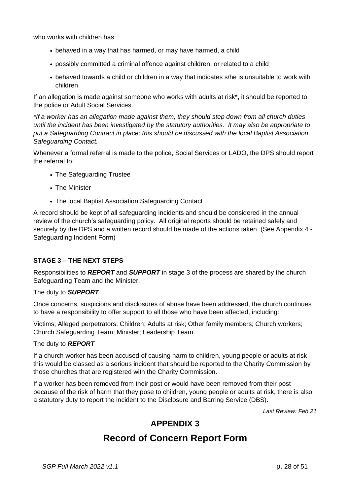who works with children has:

- behaved in a way that has harmed, or may have harmed, a child
- possibly committed a criminal offence against children, or related to a child
- behaved towards a child or children in a way that indicates s/he is unsuitable to work with children.

If an allegation is made against someone who works with adults at risk\*, it should be reported to the police or Adult Social Services.

*\*If a worker has an allegation made against them, they should step down from all church duties until the incident has been investigated by the statutory authorities. It may also be appropriate to put a Safeguarding Contract in place; this should be discussed with the local Baptist Association Safeguarding Contact.*

Whenever a formal referral is made to the police, Social Services or LADO, the DPS should report the referral to:

- The Safeguarding Trustee
- The Minister
- The local Baptist Association Safeguarding Contact

A record should be kept of all safeguarding incidents and should be considered in the annual review of the church's safeguarding policy. All original reports should be retained safely and securely by the DPS and a written record should be made of the actions taken. (See Appendix 4 -Safeguarding Incident Form)

### **STAGE 3 – THE NEXT STEPS**

Responsibilities to *REPORT* and *SUPPORT* in stage 3 of the process are shared by the church Safeguarding Team and the Minister.

### The duty to *SUPPORT*

Once concerns, suspicions and disclosures of abuse have been addressed, the church continues to have a responsibility to offer support to all those who have been affected, including:

Victims; Alleged perpetrators; Children; Adults at risk; Other family members; Church workers; Church Safeguarding Team; Minister; Leadership Team.

### The duty to *REPORT*

If a church worker has been accused of causing harm to children, young people or adults at risk this would be classed as a serious incident that should be reported to the Charity Commission by those churches that are registered with the Charity Commission.

If a worker has been removed from their post or would have been removed from their post because of the risk of harm that they pose to children, young people or adults at risk, there is also a statutory duty to report the incident to the Disclosure and Barring Service (DBS).

*Last Review: Feb 21*

### **APPENDIX 3**

### **Record of Concern Report Form**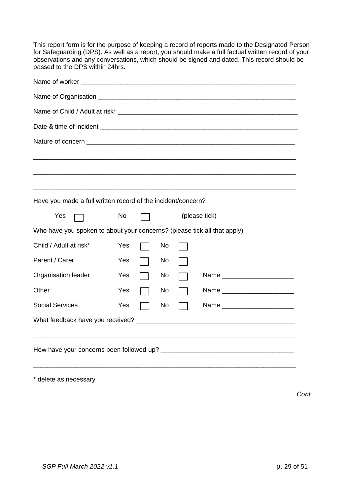This report form is for the purpose of keeping a record of reports made to the Designated Person for Safeguarding (DPS). As well as a report, you should make a full factual written record of your observations and any conversations, which should be signed and dated. This record should be passed to the DPS within 24hrs.

| Have you made a full written record of the incident/concern?             |     |  |    |               |                                |
|--------------------------------------------------------------------------|-----|--|----|---------------|--------------------------------|
| Yes                                                                      | No  |  |    | (please tick) |                                |
| Who have you spoken to about your concerns? (please tick all that apply) |     |  |    |               |                                |
| Child / Adult at risk*                                                   | Yes |  | No |               |                                |
| Parent / Carer                                                           | Yes |  | No |               |                                |
| Organisation leader                                                      | Yes |  | No |               | Name _________________________ |
| Other                                                                    | Yes |  | No |               | Name _________________________ |
| <b>Social Services</b>                                                   | Yes |  | No |               | Name _______________________   |
|                                                                          |     |  |    |               |                                |
|                                                                          |     |  |    |               |                                |
|                                                                          |     |  |    |               |                                |
|                                                                          |     |  |    |               |                                |

\* delete as necessary

*Cont…*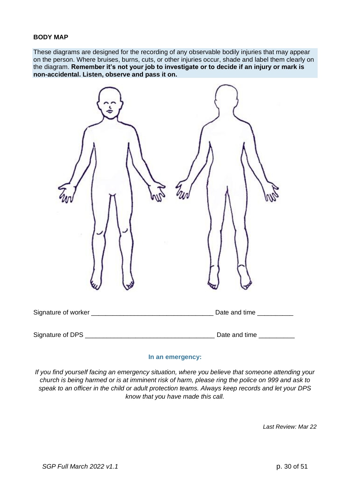#### **BODY MAP**

These diagrams are designed for the recording of any observable bodily injuries that may appear on the person. Where bruises, burns, cuts, or other injuries occur, shade and label them clearly on the diagram. **Remember it's not your job to investigate or to decide if an injury or mark is non-accidental. Listen, observe and pass it on.**

| Signature of worker __________________________________                                                                                   | Date and time __________ |
|------------------------------------------------------------------------------------------------------------------------------------------|--------------------------|
| Signature of DPS<br><u> 1989 - Johann Barn, mars ar breithinn ar breithinn ar breithinn ar breithinn ar breithinn ar breithinn ar br</u> | Date and time            |

#### **In an emergency:**

*If you find yourself facing an emergency situation, where you believe that someone attending your church is being harmed or is at imminent risk of harm, please ring the police on 999 and ask to speak to an officer in the child or adult protection teams. Always keep records and let your DPS know that you have made this call.*

*Last Review: Mar 22*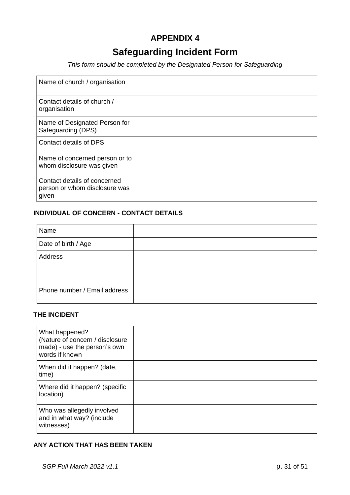### **APPENDIX 4**

### **Safeguarding Incident Form**

*This form should be completed by the Designated Person for Safeguarding*

| Name of church / organisation                                          |  |
|------------------------------------------------------------------------|--|
| Contact details of church /<br>organisation                            |  |
| Name of Designated Person for<br>Safeguarding (DPS)                    |  |
| Contact details of DPS                                                 |  |
| Name of concerned person or to<br>whom disclosure was given            |  |
| Contact details of concerned<br>person or whom disclosure was<br>given |  |

### **INDIVIDUAL OF CONCERN - CONTACT DETAILS**

| Name                         |  |
|------------------------------|--|
| Date of birth / Age          |  |
| Address                      |  |
|                              |  |
|                              |  |
| Phone number / Email address |  |
|                              |  |

### **THE INCIDENT**

| What happened?<br>(Nature of concern / disclosure<br>made) - use the person's own<br>words if known |  |
|-----------------------------------------------------------------------------------------------------|--|
| When did it happen? (date,<br>time)                                                                 |  |
| Where did it happen? (specific<br>location)                                                         |  |
| Who was allegedly involved<br>and in what way? (include<br>witnesses)                               |  |

### **ANY ACTION THAT HAS BEEN TAKEN**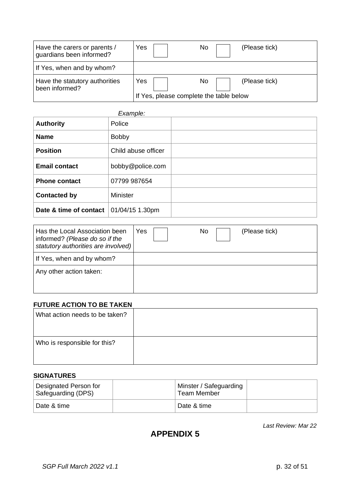| Have the carers or parents /<br>guardians been informed? | Yes                                            | No<br>(Please tick)  |
|----------------------------------------------------------|------------------------------------------------|----------------------|
| If Yes, when and by whom?                                |                                                |                      |
| Have the statutory authorities<br>been informed?         | Yes<br>If Yes, please complete the table below | No.<br>(Please tick) |

| Example:               |                     |  |
|------------------------|---------------------|--|
| <b>Authority</b>       | Police              |  |
| <b>Name</b>            | <b>Bobby</b>        |  |
| <b>Position</b>        | Child abuse officer |  |
| <b>Email contact</b>   | bobby@police.com    |  |
| <b>Phone contact</b>   | 07799 987654        |  |
| <b>Contacted by</b>    | <b>Minister</b>     |  |
| Date & time of contact | 01/04/15 1.30pm     |  |

| Has the Local Association been<br>informed? (Please do so if the<br>statutory authorities are involved) | Yes | No | (Please tick) |
|---------------------------------------------------------------------------------------------------------|-----|----|---------------|
| If Yes, when and by whom?                                                                               |     |    |               |
| Any other action taken:                                                                                 |     |    |               |
|                                                                                                         |     |    |               |

### **FUTURE ACTION TO BE TAKEN**

| What action needs to be taken? |  |
|--------------------------------|--|
| Who is responsible for this?   |  |

### **SIGNATURES**

| Designated Person for<br>Safeguarding (DPS) | Minster / Safeguarding<br>Team Member |  |
|---------------------------------------------|---------------------------------------|--|
| Date & time                                 | Date & time                           |  |

*Last Review: Mar 22*

### **APPENDIX 5**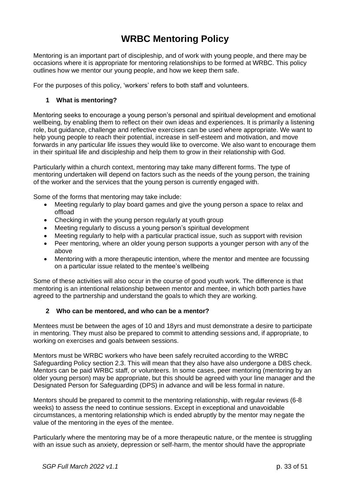### **WRBC Mentoring Policy**

Mentoring is an important part of discipleship, and of work with young people, and there may be occasions where it is appropriate for mentoring relationships to be formed at WRBC. This policy outlines how we mentor our young people, and how we keep them safe.

For the purposes of this policy, 'workers' refers to both staff and volunteers.

### **1 What is mentoring?**

Mentoring seeks to encourage a young person's personal and spiritual development and emotional wellbeing, by enabling them to reflect on their own ideas and experiences. It is primarily a listening role, but guidance, challenge and reflective exercises can be used where appropriate. We want to help young people to reach their potential, increase in self-esteem and motivation, and move forwards in any particular life issues they would like to overcome. We also want to encourage them in their spiritual life and discipleship and help them to grow in their relationship with God.

Particularly within a church context, mentoring may take many different forms. The type of mentoring undertaken will depend on factors such as the needs of the young person, the training of the worker and the services that the young person is currently engaged with.

Some of the forms that mentoring may take include:

- Meeting regularly to play board games and give the young person a space to relax and offload
- Checking in with the young person regularly at youth group
- Meeting regularly to discuss a young person's spiritual development
- Meeting regularly to help with a particular practical issue, such as support with revision
- Peer mentoring, where an older young person supports a younger person with any of the above
- Mentoring with a more therapeutic intention, where the mentor and mentee are focussing on a particular issue related to the mentee's wellbeing

Some of these activities will also occur in the course of good youth work. The difference is that mentoring is an intentional relationship between mentor and mentee, in which both parties have agreed to the partnership and understand the goals to which they are working.

### **2 Who can be mentored, and who can be a mentor?**

Mentees must be between the ages of 10 and 18yrs and must demonstrate a desire to participate in mentoring. They must also be prepared to commit to attending sessions and, if appropriate, to working on exercises and goals between sessions.

Mentors must be WRBC workers who have been safely recruited according to the WRBC Safeguarding Policy section 2.3. This will mean that they also have also undergone a DBS check. Mentors can be paid WRBC staff, or volunteers. In some cases, peer mentoring (mentoring by an older young person) may be appropriate, but this should be agreed with your line manager and the Designated Person for Safeguarding (DPS) in advance and will be less formal in nature.

Mentors should be prepared to commit to the mentoring relationship, with regular reviews (6-8 weeks) to assess the need to continue sessions. Except in exceptional and unavoidable circumstances, a mentoring relationship which is ended abruptly by the mentor may negate the value of the mentoring in the eyes of the mentee.

Particularly where the mentoring may be of a more therapeutic nature, or the mentee is struggling with an issue such as anxiety, depression or self-harm, the mentor should have the appropriate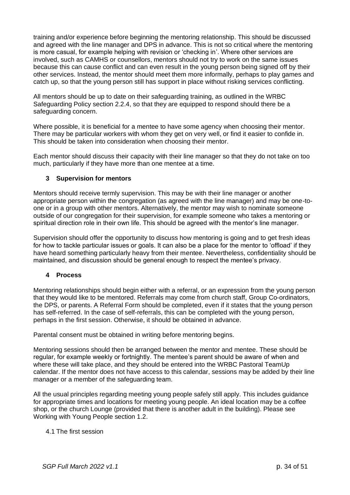training and/or experience before beginning the mentoring relationship. This should be discussed and agreed with the line manager and DPS in advance. This is not so critical where the mentoring is more casual, for example helping with revision or 'checking in'. Where other services are involved, such as CAMHS or counsellors, mentors should not try to work on the same issues because this can cause conflict and can even result in the young person being signed off by their other services. Instead, the mentor should meet them more informally, perhaps to play games and catch up, so that the young person still has support in place without risking services conflicting.

All mentors should be up to date on their safeguarding training, as outlined in the WRBC Safeguarding Policy section 2.2.4, so that they are equipped to respond should there be a safeguarding concern.

Where possible, it is beneficial for a mentee to have some agency when choosing their mentor. There may be particular workers with whom they get on very well, or find it easier to confide in. This should be taken into consideration when choosing their mentor.

Each mentor should discuss their capacity with their line manager so that they do not take on too much, particularly if they have more than one mentee at a time.

### **3 Supervision for mentors**

Mentors should receive termly supervision. This may be with their line manager or another appropriate person within the congregation (as agreed with the line manager) and may be one-toone or in a group with other mentors. Alternatively, the mentor may wish to nominate someone outside of our congregation for their supervision, for example someone who takes a mentoring or spiritual direction role in their own life. This should be agreed with the mentor's line manager.

Supervision should offer the opportunity to discuss how mentoring is going and to get fresh ideas for how to tackle particular issues or goals. It can also be a place for the mentor to 'offload' if they have heard something particularly heavy from their mentee. Nevertheless, confidentiality should be maintained, and discussion should be general enough to respect the mentee's privacy.

### **4 Process**

Mentoring relationships should begin either with a referral, or an expression from the young person that they would like to be mentored. Referrals may come from church staff, Group Co-ordinators, the DPS, or parents. A Referral Form should be completed, even if it states that the young person has self-referred. In the case of self-referrals, this can be completed with the young person, perhaps in the first session. Otherwise, it should be obtained in advance.

Parental consent must be obtained in writing before mentoring begins.

Mentoring sessions should then be arranged between the mentor and mentee. These should be regular, for example weekly or fortnightly. The mentee's parent should be aware of when and where these will take place, and they should be entered into the WRBC Pastoral TeamUp calendar. If the mentor does not have access to this calendar, sessions may be added by their line manager or a member of the safeguarding team.

All the usual principles regarding meeting young people safely still apply. This includes guidance for appropriate times and locations for meeting young people. An ideal location may be a coffee shop, or the church Lounge (provided that there is another adult in the building). Please see Working with Young People section 1.2.

### 4.1 The first session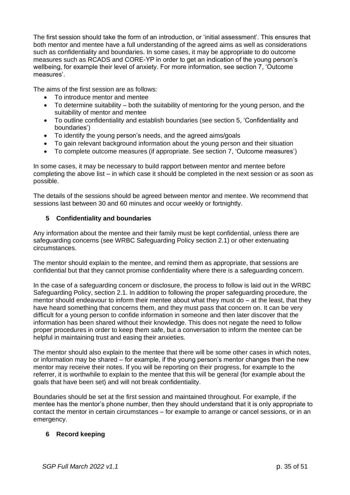The first session should take the form of an introduction, or 'initial assessment'. This ensures that both mentor and mentee have a full understanding of the agreed aims as well as considerations such as confidentiality and boundaries. In some cases, it may be appropriate to do outcome measures such as RCADS and CORE-YP in order to get an indication of the young person's wellbeing, for example their level of anxiety. For more information, see section 7, 'Outcome measures'.

The aims of the first session are as follows:

- To introduce mentor and mentee
- To determine suitability both the suitability of mentoring for the young person, and the suitability of mentor and mentee
- To outline confidentiality and establish boundaries (see section 5, 'Confidentiality and boundaries')
- To identify the young person's needs, and the agreed aims/goals
- To gain relevant background information about the young person and their situation
- To complete outcome measures (if appropriate. See section 7, 'Outcome measures')

In some cases, it may be necessary to build rapport between mentor and mentee before completing the above list – in which case it should be completed in the next session or as soon as possible.

The details of the sessions should be agreed between mentor and mentee. We recommend that sessions last between 30 and 60 minutes and occur weekly or fortnightly.

### **5 Confidentiality and boundaries**

Any information about the mentee and their family must be kept confidential, unless there are safeguarding concerns (see WRBC Safeguarding Policy section 2.1) or other extenuating circumstances.

The mentor should explain to the mentee, and remind them as appropriate, that sessions are confidential but that they cannot promise confidentiality where there is a safeguarding concern.

In the case of a safeguarding concern or disclosure, the process to follow is laid out in the WRBC Safeguarding Policy, section 2.1. In addition to following the proper safeguarding procedure, the mentor should endeavour to inform their mentee about what they must do – at the least, that they have heard something that concerns them, and they must pass that concern on. It can be very difficult for a young person to confide information in someone and then later discover that the information has been shared without their knowledge. This does not negate the need to follow proper procedures in order to keep them safe, but a conversation to inform the mentee can be helpful in maintaining trust and easing their anxieties.

The mentor should also explain to the mentee that there will be some other cases in which notes, or information may be shared – for example, if the young person's mentor changes then the new mentor may receive their notes. If you will be reporting on their progress, for example to the referrer, it is worthwhile to explain to the mentee that this will be general (for example about the goals that have been set) and will not break confidentiality.

Boundaries should be set at the first session and maintained throughout. For example, if the mentee has the mentor's phone number, then they should understand that it is only appropriate to contact the mentor in certain circumstances – for example to arrange or cancel sessions, or in an emergency.

### **6 Record keeping**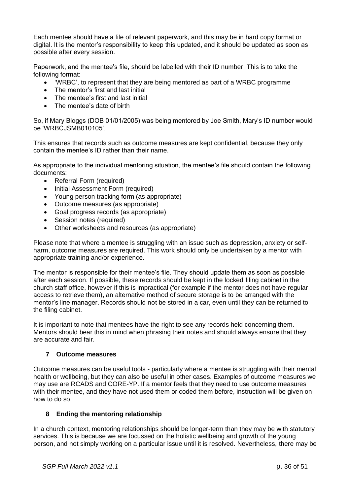Each mentee should have a file of relevant paperwork, and this may be in hard copy format or digital. It is the mentor's responsibility to keep this updated, and it should be updated as soon as possible after every session.

Paperwork, and the mentee's file, should be labelled with their ID number. This is to take the following format:

- 'WRBC', to represent that they are being mentored as part of a WRBC programme
- The mentor's first and last initial
- The mentee's first and last initial
- The mentee's date of birth

So, if Mary Bloggs (DOB 01/01/2005) was being mentored by Joe Smith, Mary's ID number would be 'WRBCJSMB010105'.

This ensures that records such as outcome measures are kept confidential, because they only contain the mentee's ID rather than their name.

As appropriate to the individual mentoring situation, the mentee's file should contain the following documents:

- Referral Form (required)
- Initial Assessment Form (required)
- Young person tracking form (as appropriate)
- Outcome measures (as appropriate)
- Goal progress records (as appropriate)
- Session notes (required)
- Other worksheets and resources (as appropriate)

Please note that where a mentee is struggling with an issue such as depression, anxiety or selfharm, outcome measures are required. This work should only be undertaken by a mentor with appropriate training and/or experience.

The mentor is responsible for their mentee's file. They should update them as soon as possible after each session. If possible, these records should be kept in the locked filing cabinet in the church staff office, however if this is impractical (for example if the mentor does not have regular access to retrieve them), an alternative method of secure storage is to be arranged with the mentor's line manager. Records should not be stored in a car, even until they can be returned to the filing cabinet.

It is important to note that mentees have the right to see any records held concerning them. Mentors should bear this in mind when phrasing their notes and should always ensure that they are accurate and fair.

### **7 Outcome measures**

Outcome measures can be useful tools - particularly where a mentee is struggling with their mental health or wellbeing, but they can also be useful in other cases. Examples of outcome measures we may use are RCADS and CORE-YP. If a mentor feels that they need to use outcome measures with their mentee, and they have not used them or coded them before, instruction will be given on how to do so.

### **8 Ending the mentoring relationship**

In a church context, mentoring relationships should be longer-term than they may be with statutory services. This is because we are focussed on the holistic wellbeing and growth of the young person, and not simply working on a particular issue until it is resolved. Nevertheless, there may be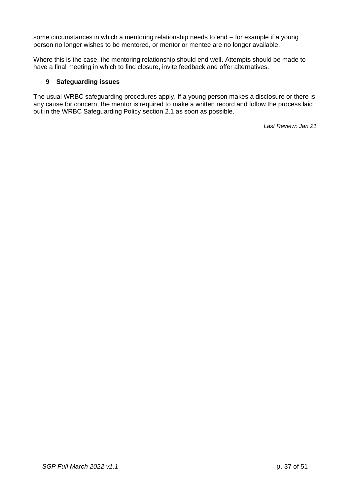some circumstances in which a mentoring relationship needs to end – for example if a young person no longer wishes to be mentored, or mentor or mentee are no longer available.

Where this is the case, the mentoring relationship should end well. Attempts should be made to have a final meeting in which to find closure, invite feedback and offer alternatives.

### **9 Safeguarding issues**

The usual WRBC safeguarding procedures apply. If a young person makes a disclosure or there is any cause for concern, the mentor is required to make a written record and follow the process laid out in the WRBC Safeguarding Policy section 2.1 as soon as possible.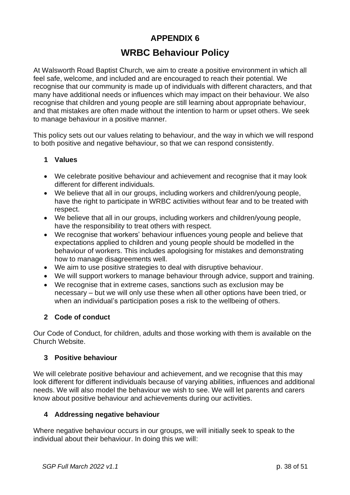### **APPENDIX 6**

### **WRBC Behaviour Policy**

At Walsworth Road Baptist Church, we aim to create a positive environment in which all feel safe, welcome, and included and are encouraged to reach their potential. We recognise that our community is made up of individuals with different characters, and that many have additional needs or influences which may impact on their behaviour. We also recognise that children and young people are still learning about appropriate behaviour, and that mistakes are often made without the intention to harm or upset others. We seek to manage behaviour in a positive manner.

This policy sets out our values relating to behaviour, and the way in which we will respond to both positive and negative behaviour, so that we can respond consistently.

### **1 Values**

- We celebrate positive behaviour and achievement and recognise that it may look different for different individuals.
- We believe that all in our groups, including workers and children/young people, have the right to participate in WRBC activities without fear and to be treated with respect.
- We believe that all in our groups, including workers and children/young people, have the responsibility to treat others with respect.
- We recognise that workers' behaviour influences young people and believe that expectations applied to children and young people should be modelled in the behaviour of workers. This includes apologising for mistakes and demonstrating how to manage disagreements well.
- We aim to use positive strategies to deal with disruptive behaviour.
- We will support workers to manage behaviour through advice, support and training.
- We recognise that in extreme cases, sanctions such as exclusion may be necessary – but we will only use these when all other options have been tried, or when an individual's participation poses a risk to the wellbeing of others.

### **2 Code of conduct**

Our Code of Conduct, for children, adults and those working with them is available on the Church Website.

### **3 Positive behaviour**

We will celebrate positive behaviour and achievement, and we recognise that this may look different for different individuals because of varying abilities, influences and additional needs. We will also model the behaviour we wish to see. We will let parents and carers know about positive behaviour and achievements during our activities.

### **4 Addressing negative behaviour**

Where negative behaviour occurs in our groups, we will initially seek to speak to the individual about their behaviour. In doing this we will: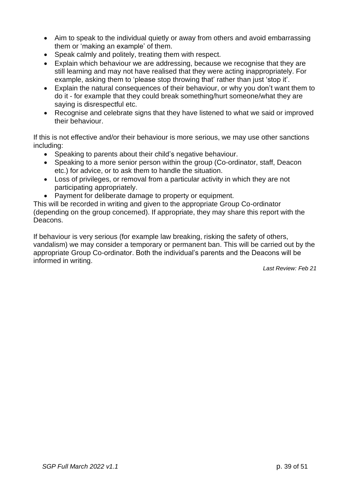- Aim to speak to the individual quietly or away from others and avoid embarrassing them or 'making an example' of them.
- Speak calmly and politely, treating them with respect.
- Explain which behaviour we are addressing, because we recognise that they are still learning and may not have realised that they were acting inappropriately. For example, asking them to 'please stop throwing that' rather than just 'stop it'.
- Explain the natural consequences of their behaviour, or why you don't want them to do it - for example that they could break something/hurt someone/what they are saying is disrespectful etc.
- Recognise and celebrate signs that they have listened to what we said or improved their behaviour.

If this is not effective and/or their behaviour is more serious, we may use other sanctions including:

- Speaking to parents about their child's negative behaviour.
- Speaking to a more senior person within the group (Co-ordinator, staff, Deacon etc.) for advice, or to ask them to handle the situation.
- Loss of privileges, or removal from a particular activity in which they are not participating appropriately.
- Payment for deliberate damage to property or equipment.

This will be recorded in writing and given to the appropriate Group Co-ordinator (depending on the group concerned). If appropriate, they may share this report with the Deacons.

If behaviour is very serious (for example law breaking, risking the safety of others, vandalism) we may consider a temporary or permanent ban. This will be carried out by the appropriate Group Co-ordinator. Both the individual's parents and the Deacons will be informed in writing.

*Last Review: Feb 21*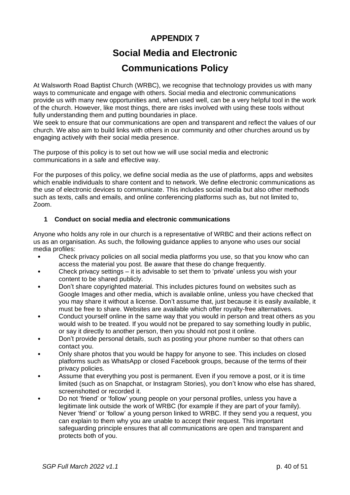### **APPENDIX 7**

## **Social Media and Electronic**

### **Communications Policy**

At Walsworth Road Baptist Church (WRBC), we recognise that technology provides us with many ways to communicate and engage with others. Social media and electronic communications provide us with many new opportunities and, when used well, can be a very helpful tool in the work of the church. However, like most things, there are risks involved with using these tools without fully understanding them and putting boundaries in place.

We seek to ensure that our communications are open and transparent and reflect the values of our church. We also aim to build links with others in our community and other churches around us by engaging actively with their social media presence.

The purpose of this policy is to set out how we will use social media and electronic communications in a safe and effective way.

For the purposes of this policy, we define social media as the use of platforms, apps and websites which enable individuals to share content and to network. We define electronic communications as the use of electronic devices to communicate. This includes social media but also other methods such as texts, calls and emails, and online conferencing platforms such as, but not limited to, Zoom.

### **1 Conduct on social media and electronic communications**

Anyone who holds any role in our church is a representative of WRBC and their actions reflect on us as an organisation. As such, the following guidance applies to anyone who uses our social media profiles:

- Check privacy policies on all social media platforms you use, so that you know who can access the material you post. Be aware that these do change frequently.
- Check privacy settings it is advisable to set them to 'private' unless you wish your content to be shared publicly.
- Don't share copyrighted material. This includes pictures found on websites such as Google Images and other media, which is available online, unless you have checked that you may share it without a license. Don't assume that, just because it is easily available, it must be free to share. Websites are available which offer royalty-free alternatives.
- Conduct yourself online in the same way that you would in person and treat others as you would wish to be treated. If you would not be prepared to say something loudly in public, or say it directly to another person, then you should not post it online.
- Don't provide personal details, such as posting your phone number so that others can contact you.
- Only share photos that you would be happy for anyone to see. This includes on closed platforms such as WhatsApp or closed Facebook groups, because of the terms of their privacy policies.
- Assume that everything you post is permanent. Even if you remove a post, or it is time limited (such as on Snapchat, or Instagram Stories), you don't know who else has shared, screenshotted or recorded it.
- Do not 'friend' or 'follow' young people on your personal profiles, unless you have a legitimate link outside the work of WRBC (for example if they are part of your family). Never 'friend' or 'follow' a young person linked to WRBC. If they send you a request, you can explain to them why you are unable to accept their request. This important safeguarding principle ensures that all communications are open and transparent and protects both of you.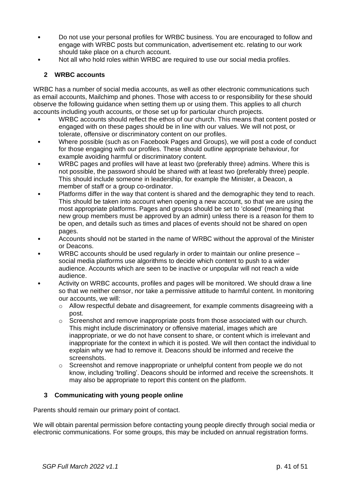- Do not use your personal profiles for WRBC business. You are encouraged to follow and engage with WRBC posts but communication, advertisement etc. relating to our work should take place on a church account.
- Not all who hold roles within WRBC are required to use our social media profiles.

### **2 WRBC accounts**

WRBC has a number of social media accounts, as well as other electronic communications such as email accounts, Mailchimp and phones. Those with access to or responsibility for these should observe the following guidance when setting them up or using them. This applies to all church accounts including youth accounts, or those set up for particular church projects.

- WRBC accounts should reflect the ethos of our church. This means that content posted or engaged with on these pages should be in line with our values. We will not post, or tolerate, offensive or discriminatory content on our profiles.
- Where possible (such as on Facebook Pages and Groups), we will post a code of conduct for those engaging with our profiles. These should outline appropriate behaviour, for example avoiding harmful or discriminatory content.
- WRBC pages and profiles will have at least two (preferably three) admins. Where this is not possible, the password should be shared with at least two (preferably three) people. This should include someone in leadership, for example the Minister, a Deacon, a member of staff or a group co-ordinator.
- Platforms differ in the way that content is shared and the demographic they tend to reach. This should be taken into account when opening a new account, so that we are using the most appropriate platforms. Pages and groups should be set to 'closed' (meaning that new group members must be approved by an admin) unless there is a reason for them to be open, and details such as times and places of events should not be shared on open pages.
- Accounts should not be started in the name of WRBC without the approval of the Minister or Deacons.
- WRBC accounts should be used regularly in order to maintain our online presence social media platforms use algorithms to decide which content to push to a wider audience. Accounts which are seen to be inactive or unpopular will not reach a wide audience.
- Activity on WRBC accounts, profiles and pages will be monitored. We should draw a line so that we neither censor, nor take a permissive attitude to harmful content. In monitoring our accounts, we will:
	- o Allow respectful debate and disagreement, for example comments disagreeing with a post.
	- o Screenshot and remove inappropriate posts from those associated with our church. This might include discriminatory or offensive material, images which are inappropriate, or we do not have consent to share, or content which is irrelevant and inappropriate for the context in which it is posted. We will then contact the individual to explain why we had to remove it. Deacons should be informed and receive the screenshots.
	- $\circ$  Screenshot and remove inappropriate or unhelpful content from people we do not know, including 'trolling'. Deacons should be informed and receive the screenshots. It may also be appropriate to report this content on the platform.

### **3 Communicating with young people online**

Parents should remain our primary point of contact.

We will obtain parental permission before contacting young people directly through social media or electronic communications. For some groups, this may be included on annual registration forms.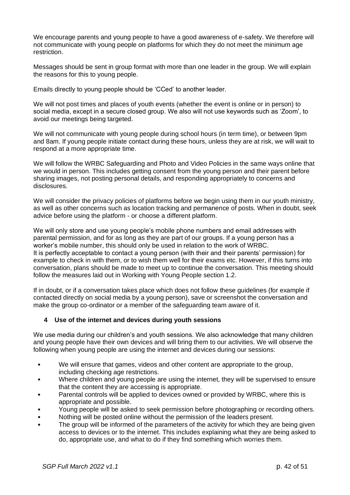We encourage parents and young people to have a good awareness of e-safety. We therefore will not communicate with young people on platforms for which they do not meet the minimum age restriction.

Messages should be sent in group format with more than one leader in the group. We will explain the reasons for this to young people.

Emails directly to young people should be 'CCed' to another leader.

We will not post times and places of youth events (whether the event is online or in person) to social media, except in a secure closed group. We also will not use keywords such as 'Zoom', to avoid our meetings being targeted.

We will not communicate with young people during school hours (in term time), or between 9pm and 8am. If young people initiate contact during these hours, unless they are at risk, we will wait to respond at a more appropriate time.

We will follow the WRBC Safeguarding and Photo and Video Policies in the same ways online that we would in person. This includes getting consent from the young person and their parent before sharing images, not posting personal details, and responding appropriately to concerns and disclosures.

We will consider the privacy policies of platforms before we begin using them in our youth ministry, as well as other concerns such as location tracking and permanence of posts. When in doubt, seek advice before using the platform - or choose a different platform.

We will only store and use young people's mobile phone numbers and email addresses with parental permission, and for as long as they are part of our groups. If a young person has a worker's mobile number, this should only be used in relation to the work of WRBC. It is perfectly acceptable to contact a young person (with their and their parents' permission) for example to check in with them, or to wish them well for their exams etc. However, if this turns into conversation, plans should be made to meet up to continue the conversation. This meeting should follow the measures laid out in Working with Young People section 1.2.

If in doubt, or if a conversation takes place which does not follow these guidelines (for example if contacted directly on social media by a young person), save or screenshot the conversation and make the group co-ordinator or a member of the safeguarding team aware of it.

### **4 Use of the internet and devices during youth sessions**

We use media during our children's and youth sessions. We also acknowledge that many children and young people have their own devices and will bring them to our activities. We will observe the following when young people are using the internet and devices during our sessions:

- We will ensure that games, videos and other content are appropriate to the group, including checking age restrictions.
- Where children and young people are using the internet, they will be supervised to ensure that the content they are accessing is appropriate.
- Parental controls will be applied to devices owned or provided by WRBC, where this is appropriate and possible.
- Young people will be asked to seek permission before photographing or recording others.
- Nothing will be posted online without the permission of the leaders present.
- The group will be informed of the parameters of the activity for which they are being given access to devices or to the internet. This includes explaining what they are being asked to do, appropriate use, and what to do if they find something which worries them.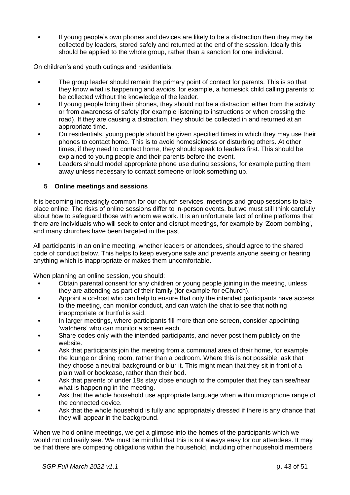• If young people's own phones and devices are likely to be a distraction then they may be collected by leaders, stored safely and returned at the end of the session. Ideally this should be applied to the whole group, rather than a sanction for one individual.

On children's and youth outings and residentials:

- The group leader should remain the primary point of contact for parents. This is so that they know what is happening and avoids, for example, a homesick child calling parents to be collected without the knowledge of the leader.
- If young people bring their phones, they should not be a distraction either from the activity or from awareness of safety (for example listening to instructions or when crossing the road). If they are causing a distraction, they should be collected in and returned at an appropriate time.
- On residentials, young people should be given specified times in which they may use their phones to contact home. This is to avoid homesickness or disturbing others. At other times, if they need to contact home, they should speak to leaders first. This should be explained to young people and their parents before the event.
- Leaders should model appropriate phone use during sessions, for example putting them away unless necessary to contact someone or look something up.

### **5 Online meetings and sessions**

It is becoming increasingly common for our church services, meetings and group sessions to take place online. The risks of online sessions differ to in-person events, but we must still think carefully about how to safeguard those with whom we work. It is an unfortunate fact of online platforms that there are individuals who will seek to enter and disrupt meetings, for example by 'Zoom bombing', and many churches have been targeted in the past.

All participants in an online meeting, whether leaders or attendees, should agree to the shared code of conduct below. This helps to keep everyone safe and prevents anyone seeing or hearing anything which is inappropriate or makes them uncomfortable.

When planning an online session, you should:

- Obtain parental consent for any children or young people joining in the meeting, unless they are attending as part of their family (for example for eChurch).
- Appoint a co-host who can help to ensure that only the intended participants have access to the meeting, can monitor conduct, and can watch the chat to see that nothing inappropriate or hurtful is said.
- In larger meetings, where participants fill more than one screen, consider appointing 'watchers' who can monitor a screen each.
- Share codes only with the intended participants, and never post them publicly on the website.
- Ask that participants join the meeting from a communal area of their home, for example the lounge or dining room, rather than a bedroom. Where this is not possible, ask that they choose a neutral background or blur it. This might mean that they sit in front of a plain wall or bookcase, rather than their bed.
- Ask that parents of under 18s stay close enough to the computer that they can see/hear what is happening in the meeting.
- Ask that the whole household use appropriate language when within microphone range of the connected device.
- Ask that the whole household is fully and appropriately dressed if there is any chance that they will appear in the background.

When we hold online meetings, we get a glimpse into the homes of the participants which we would not ordinarily see. We must be mindful that this is not always easy for our attendees. It may be that there are competing obligations within the household, including other household members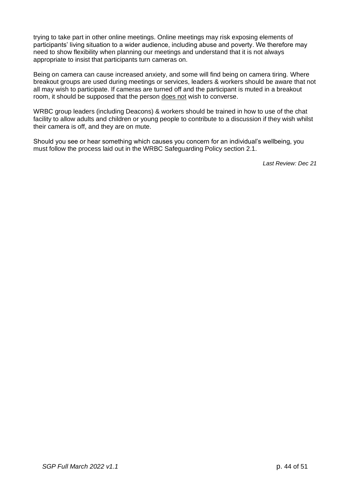trying to take part in other online meetings. Online meetings may risk exposing elements of participants' living situation to a wider audience, including abuse and poverty. We therefore may need to show flexibility when planning our meetings and understand that it is not always appropriate to insist that participants turn cameras on.

Being on camera can cause increased anxiety, and some will find being on camera tiring. Where breakout groups are used during meetings or services, leaders & workers should be aware that not all may wish to participate. If cameras are turned off and the participant is muted in a breakout room, it should be supposed that the person does not wish to converse.

WRBC group leaders (including Deacons) & workers should be trained in how to use of the chat facility to allow adults and children or young people to contribute to a discussion if they wish whilst their camera is off, and they are on mute.

Should you see or hear something which causes you concern for an individual's wellbeing, you must follow the process laid out in the WRBC Safeguarding Policy section 2.1.

*Last Review: Dec 21*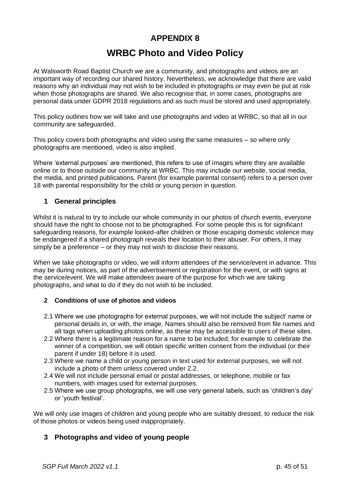### **APPENDIX 8**

### **WRBC Photo and Video Policy**

At Walsworth Road Baptist Church we are a community, and photographs and videos are an important way of recording our shared history. Nevertheless, we acknowledge that there are valid reasons why an individual may not wish to be included in photographs or may even be put at risk when those photographs are shared. We also recognise that, in some cases, photographs are personal data under GDPR 2018 regulations and as such must be stored and used appropriately.

This policy outlines how we will take and use photographs and video at WRBC, so that all in our community are safeguarded.

This policy covers both photographs and video using the same measures – so where only photographs are mentioned, video is also implied.

Where 'external purposes' are mentioned, this refers to use of images where they are available online or to those outside our community at WRBC. This may include our website, social media, the media, and printed publications. Parent (for example parental consent) refers to a person over 18 with parental responsibility for the child or young person in question.

### **1 General principles**

Whilst it is natural to try to include our whole community in our photos of church events, everyone should have the right to choose not to be photographed. For some people this is for significant safeguarding reasons, for example looked-after children or those escaping domestic violence may be endangered if a shared photograph reveals their location to their abuser. For others, it may simply be a preference – or they may not wish to disclose their reasons.

When we take photographs or video, we will inform attendees of the service/event in advance. This may be during notices, as part of the advertisement or registration for the event, or with signs at the service/event. We will make attendees aware of the purpose for which we are taking photographs, and what to do if they do not wish to be included.

### **2 Conditions of use of photos and videos**

- 2.1 Where we use photographs for external purposes, we will not include the subject' name or personal details in, or with, the image. Names should also be removed from file names and alt tags when uploading photos online, as these may be accessible to users of these sites.
- 2.2 Where there is a legitimate reason for a name to be included, for example to celebrate the winner of a competition, we will obtain specific written consent from the individual (or their parent if under 18) before it is used.
- 2.3 Where we name a child or young person in text used for external purposes, we will not include a photo of them unless covered under 2.2.
- 2.4 We will not include personal email or postal addresses, or telephone, mobile or fax numbers, with images used for external purposes.
- 2.5 Where we use group photographs, we will use very general labels, such as 'children's day' or 'youth festival'.

We will only use images of children and young people who are suitably dressed, to reduce the risk of those photos or videos being used inappropriately.

### **3 Photographs and video of young people**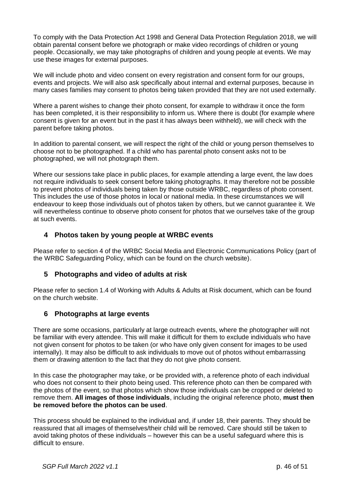To comply with the Data Protection Act 1998 and General Data Protection Regulation 2018, we will obtain parental consent before we photograph or make video recordings of children or young people. Occasionally, we may take photographs of children and young people at events. We may use these images for external purposes.

We will include photo and video consent on every registration and consent form for our groups, events and projects. We will also ask specifically about internal and external purposes, because in many cases families may consent to photos being taken provided that they are not used externally.

Where a parent wishes to change their photo consent, for example to withdraw it once the form has been completed, it is their responsibility to inform us. Where there is doubt (for example where consent is given for an event but in the past it has always been withheld), we will check with the parent before taking photos.

In addition to parental consent, we will respect the right of the child or young person themselves to choose not to be photographed. If a child who has parental photo consent asks not to be photographed, we will not photograph them.

Where our sessions take place in public places, for example attending a large event, the law does not require individuals to seek consent before taking photographs. It may therefore not be possible to prevent photos of individuals being taken by those outside WRBC, regardless of photo consent. This includes the use of those photos in local or national media. In these circumstances we will endeavour to keep those individuals out of photos taken by others, but we cannot guarantee it. We will nevertheless continue to observe photo consent for photos that we ourselves take of the group at such events.

### **4 Photos taken by young people at WRBC events**

Please refer to section 4 of the WRBC Social Media and Electronic Communications Policy (part of the WRBC Safeguarding Policy, which can be found on the church website).

### **5 Photographs and video of adults at risk**

Please refer to section 1.4 of Working with Adults & Adults at Risk document, which can be found on the church website.

### **6 Photographs at large events**

There are some occasions, particularly at large outreach events, where the photographer will not be familiar with every attendee. This will make it difficult for them to exclude individuals who have not given consent for photos to be taken (or who have only given consent for images to be used internally). It may also be difficult to ask individuals to move out of photos without embarrassing them or drawing attention to the fact that they do not give photo consent.

In this case the photographer may take, or be provided with, a reference photo of each individual who does not consent to their photo being used. This reference photo can then be compared with the photos of the event, so that photos which show those individuals can be cropped or deleted to remove them. **All images of those individuals**, including the original reference photo, **must then be removed before the photos can be used**.

This process should be explained to the individual and, if under 18, their parents. They should be reassured that all images of themselves/their child will be removed. Care should still be taken to avoid taking photos of these individuals – however this can be a useful safeguard where this is difficult to ensure.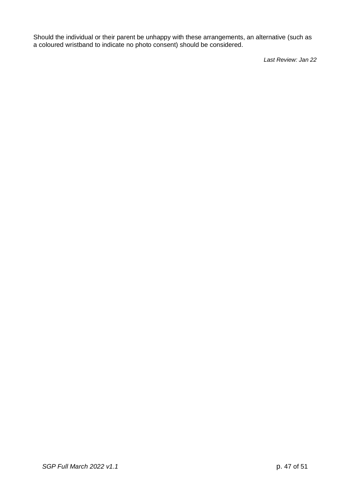Should the individual or their parent be unhappy with these arrangements, an alternative (such as a coloured wristband to indicate no photo consent) should be considered.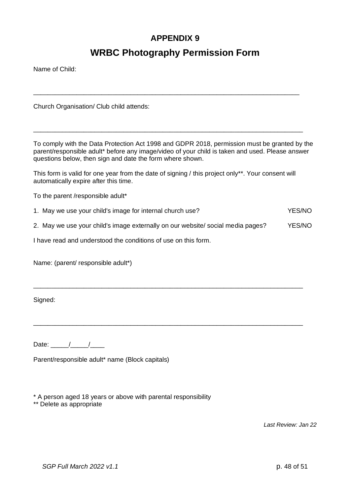### **APPENDIX 9**

### **WRBC Photography Permission Form**

\_\_\_\_\_\_\_\_\_\_\_\_\_\_\_\_\_\_\_\_\_\_\_\_\_\_\_\_\_\_\_\_\_\_\_\_\_\_\_\_\_\_\_\_\_\_\_\_\_\_\_\_\_\_\_\_\_\_\_\_\_\_\_\_\_\_\_\_\_\_\_\_\_\_

\_\_\_\_\_\_\_\_\_\_\_\_\_\_\_\_\_\_\_\_\_\_\_\_\_\_\_\_\_\_\_\_\_\_\_\_\_\_\_\_\_\_\_\_\_\_\_\_\_\_\_\_\_\_\_\_\_\_\_\_\_\_\_\_\_\_\_\_\_\_\_\_\_\_\_

Name of Child:

Church Organisation/ Club child attends:

To comply with the Data Protection Act 1998 and GDPR 2018, permission must be granted by the parent/responsible adult\* before any image/video of your child is taken and used. Please answer questions below, then sign and date the form where shown.

This form is valid for one year from the date of signing / this project only\*\*. Your consent will automatically expire after this time.

To the parent /responsible adult\*

1. May we use your child's image for internal church use? The May we use YES/NO

2. May we use your child's image externally on our website/ social media pages? YES/NO

\_\_\_\_\_\_\_\_\_\_\_\_\_\_\_\_\_\_\_\_\_\_\_\_\_\_\_\_\_\_\_\_\_\_\_\_\_\_\_\_\_\_\_\_\_\_\_\_\_\_\_\_\_\_\_\_\_\_\_\_\_\_\_\_\_\_\_\_\_\_\_\_\_\_\_

\_\_\_\_\_\_\_\_\_\_\_\_\_\_\_\_\_\_\_\_\_\_\_\_\_\_\_\_\_\_\_\_\_\_\_\_\_\_\_\_\_\_\_\_\_\_\_\_\_\_\_\_\_\_\_\_\_\_\_\_\_\_\_\_\_\_\_\_\_\_\_\_\_\_\_

I have read and understood the conditions of use on this form.

Name: (parent/ responsible adult\*)

Signed:

Date:  $/$  /

Parent/responsible adult\* name (Block capitals)

\* A person aged 18 years or above with parental responsibility

\*\* Delete as appropriate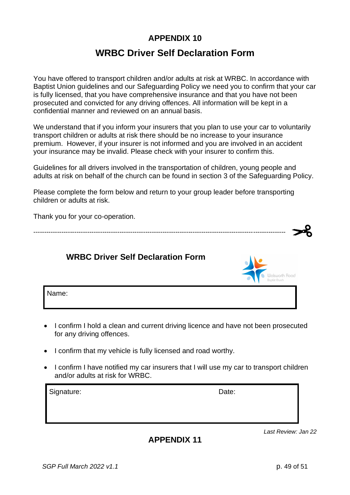### **APPENDIX 10**

### **WRBC Driver Self Declaration Form**

You have offered to transport children and/or adults at risk at WRBC. In accordance with Baptist Union guidelines and our Safeguarding Policy we need you to confirm that your car is fully licensed, that you have comprehensive insurance and that you have not been prosecuted and convicted for any driving offences. All information will be kept in a confidential manner and reviewed on an annual basis.

We understand that if you inform your insurers that you plan to use your car to voluntarily transport children or adults at risk there should be no increase to your insurance premium. However, if your insurer is not informed and you are involved in an accident your insurance may be invalid. Please check with your insurer to confirm this.

Guidelines for all drivers involved in the transportation of children, young people and adults at risk on behalf of the church can be found in section 3 of the Safeguarding Policy.

Please complete the form below and return to your group leader before transporting children or adults at risk.

Thank you for your co-operation.

| <b>WRBC Driver Self Declaration Form</b> | . 10000 |
|------------------------------------------|---------|
| Name:                                    |         |

- I confirm I hold a clean and current driving licence and have not been prosecuted for any driving offences.
- I confirm that my vehicle is fully licensed and road worthy.
- I confirm I have notified my car insurers that I will use my car to transport children and/or adults at risk for WRBC.

Signature: Date: Date: Date: Date: Date: Date: Date: Date: Date: Date: Date: Date: Date: Date: Date: Date: Date: Date: Date: Date: Date: Date: Date: Date: Date: Date: Date: Date: Date: Date: Date: Date: Date: Date: Date: D

**APPENDIX 11**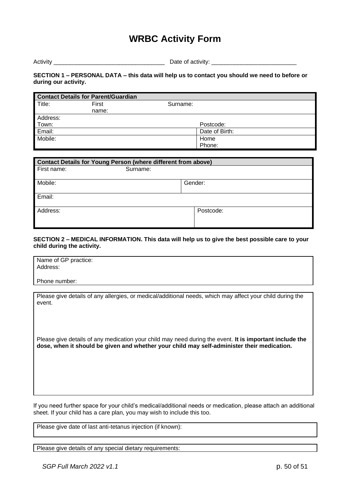### **WRBC Activity Form**

Activity **Example 2.** Activity: **Date of activity:**  $\Box$ 

#### **SECTION 1 – PERSONAL DATA – this data will help us to contact you should we need to before or during our activity.**

|          | <b>Contact Details for Parent/Guardian</b> |                |
|----------|--------------------------------------------|----------------|
| Title:   | First                                      | Surname:       |
|          | name:                                      |                |
| Address: |                                            |                |
| Town:    |                                            | Postcode:      |
| Email:   |                                            | Date of Birth: |
| Mobile:  |                                            | Home           |
|          |                                            | Phone:         |

| <b>Contact Details for Young Person (where different from above)</b> |          |         |           |
|----------------------------------------------------------------------|----------|---------|-----------|
| First name:                                                          | Surname: |         |           |
| Mobile:                                                              |          | Gender: |           |
| Email:                                                               |          |         |           |
| Address:                                                             |          |         | Postcode: |

#### **SECTION 2 – MEDICAL INFORMATION. This data will help us to give the best possible care to your child during the activity.**

| Name of GP practice:<br>Address: |  |  |
|----------------------------------|--|--|
| Phone number:                    |  |  |

Please give details of any allergies, or medical/additional needs, which may affect your child during the event.

Please give details of any medication your child may need during the event. **It is important include the dose, when it should be given and whether your child may self-administer their medication.**

If you need further space for your child's medical/additional needs or medication, please attach an additional sheet. If your child has a care plan, you may wish to include this too.

Please give date of last anti-tetanus injection (if known):

Please give details of any special dietary requirements: